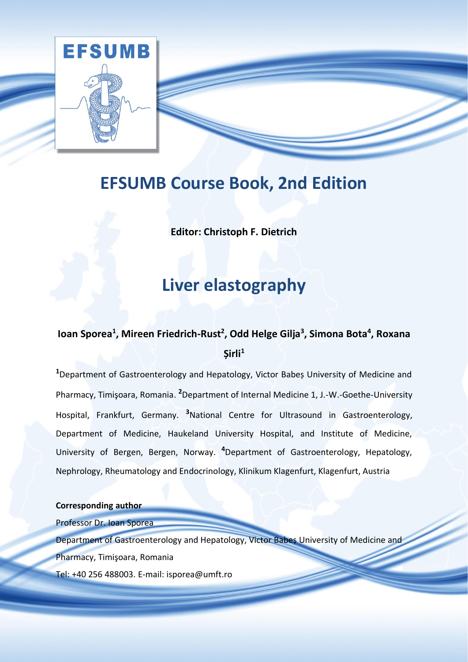

# **EFSUMB Course Book, 2nd Edition**

**Editor: Christoph F. Dietrich**

# **Liver elastography**

# **Ioan Sporea<sup>1</sup> , Mireen Friedrich-Rust<sup>2</sup> , Odd Helge Gilja<sup>3</sup> , Simona Bota<sup>4</sup> , Roxana Șirli<sup>1</sup>**

**<sup>1</sup>**Department of Gastroenterology and Hepatology, Victor Babeș University of Medicine and Pharmacy, Timişoara, Romania. **2**Department of Internal Medicine 1, J.-W.-Goethe-University Hospital, Frankfurt, Germany. **3**National Centre for Ultrasound in Gastroenterology, Department of Medicine, Haukeland University Hospital, and Institute of Medicine, University of Bergen, Bergen, Norway. **4**Department of Gastroenterology, Hepatology, Nephrology, Rheumatology and Endocrinology, Klinikum Klagenfurt, Klagenfurt, Austria

**Corresponding author**

Professor Dr. Ioan Sporea

Department of Gastroenterology and Hepatology, Victor Babeș University of Medicine and

Pharmacy, Timişoara, Romania

Tel: +40 256 488003. E-mail: isporea@umft.ro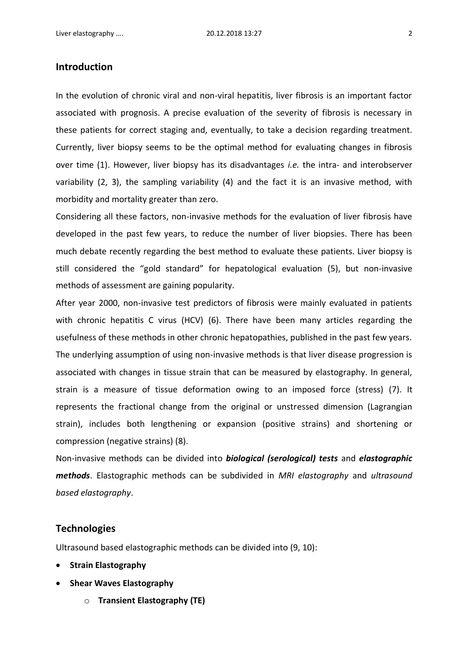# **Introduction**

In the evolution of chronic viral and non-viral hepatitis, liver fibrosis is an important factor associated with prognosis. A precise evaluation of the severity of fibrosis is necessary in these patients for correct staging and, eventually, to take a decision regarding treatment. Currently, liver biopsy seems to be the optimal method for evaluating changes in fibrosis over time (1). However, liver biopsy has its disadvantages *i.e.* the intra- and interobserver variability (2, 3), the sampling variability (4) and the fact it is an invasive method, with morbidity and mortality greater than zero.

Considering all these factors, non-invasive methods for the evaluation of liver fibrosis have developed in the past few years, to reduce the number of liver biopsies. There has been much debate recently regarding the best method to evaluate these patients. Liver biopsy is still considered the "gold standard" for hepatological evaluation (5), but non-invasive methods of assessment are gaining popularity.

After year 2000, non-invasive test predictors of fibrosis were mainly evaluated in patients with chronic hepatitis C virus (HCV) (6). There have been many articles regarding the usefulness of these methods in other chronic hepatopathies, published in the past few years. The underlying assumption of using non-invasive methods is that liver disease progression is associated with changes in tissue strain that can be measured by elastography. In general, strain is a measure of tissue deformation owing to an imposed force (stress) (7). It represents the fractional change from the original or unstressed dimension (Lagrangian strain), includes both lengthening or expansion (positive strains) and shortening or compression (negative strains) (8).

Non-invasive methods can be divided into *biological (serological) tests* and *elastographic methods*. Elastographic methods can be subdivided in *MRI elastography* and *ultrasound based elastography*.

#### **Technologies**

Ultrasound based elastographic methods can be divided into (9, 10):

- **Strain Elastography**
- **Shear Waves Elastography**
	- o **Transient Elastography (TE)**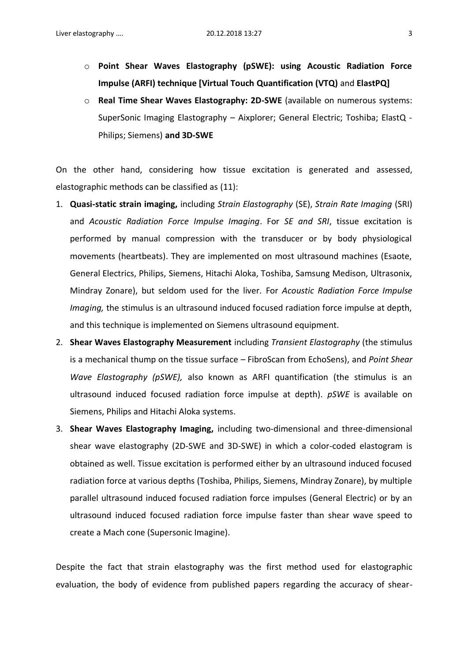- o **Point Shear Waves Elastography (pSWE): using Acoustic Radiation Force Impulse (ARFI) technique [Virtual Touch Quantification (VTQ)** and **ElastPQ]**
- o **Real Time Shear Waves Elastography: 2D-SWE** (available on numerous systems: SuperSonic Imaging Elastography – Aixplorer; General Electric; Toshiba; ElastQ - Philips; Siemens) **and 3D-SWE**

On the other hand, considering how tissue excitation is generated and assessed, elastographic methods can be classified as (11):

- 1. **Quasi-static strain imaging,** including *Strain Elastography* (SE), *Strain Rate Imaging* (SRI) and *Acoustic Radiation Force Impulse Imaging*. For *SE and SRI*, tissue excitation is performed by manual compression with the transducer or by body physiological movements (heartbeats). They are implemented on most ultrasound machines (Esaote, General Electrics, Philips, Siemens, Hitachi Aloka, Toshiba, Samsung Medison, Ultrasonix, Mindray Zonare), but seldom used for the liver. For *Acoustic Radiation Force Impulse Imaging,* the stimulus is an ultrasound induced focused radiation force impulse at depth, and this technique is implemented on Siemens ultrasound equipment.
- 2. **Shear Waves Elastography Measurement** including *Transient Elastography* (the stimulus is a mechanical thump on the tissue surface – FibroScan from EchoSens), and *Point Shear Wave Elastography (pSWE),* also known as ARFI quantification (the stimulus is an ultrasound induced focused radiation force impulse at depth). *pSWE* is available on Siemens, Philips and Hitachi Aloka systems.
- 3. **Shear Waves Elastography Imaging,** including two-dimensional and three-dimensional shear wave elastography (2D-SWE and 3D-SWE) in which a color-coded elastogram is obtained as well. Tissue excitation is performed either by an ultrasound induced focused radiation force at various depths (Toshiba, Philips, Siemens, Mindray Zonare), by multiple parallel ultrasound induced focused radiation force impulses (General Electric) or by an ultrasound induced focused radiation force impulse faster than shear wave speed to create a Mach cone (Supersonic Imagine).

Despite the fact that strain elastography was the first method used for elastographic evaluation, the body of evidence from published papers regarding the accuracy of shear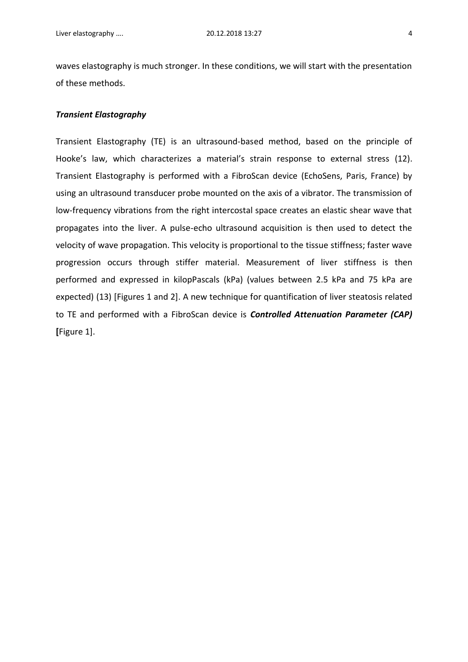waves elastography is much stronger. In these conditions, we will start with the presentation of these methods.

#### *Transient Elastography*

Transient Elastography (TE) is an ultrasound-based method, based on the principle of Hooke's law, which characterizes a material's strain response to external stress (12). Transient Elastography is performed with a FibroScan device (EchoSens, Paris, France) by using an ultrasound transducer probe mounted on the axis of a vibrator. The transmission of low-frequency vibrations from the right intercostal space creates an elastic shear wave that propagates into the liver. A pulse-echo ultrasound acquisition is then used to detect the velocity of wave propagation. This velocity is proportional to the tissue stiffness; faster wave progression occurs through stiffer material. Measurement of liver stiffness is then performed and expressed in kilopPascals (kPa) (values between 2.5 kPa and 75 kPa are expected) (13) [Figures 1 and 2]. A new technique for quantification of liver steatosis related to TE and performed with a FibroScan device is *Controlled Attenuation Parameter (CAP)*  **[**Figure 1].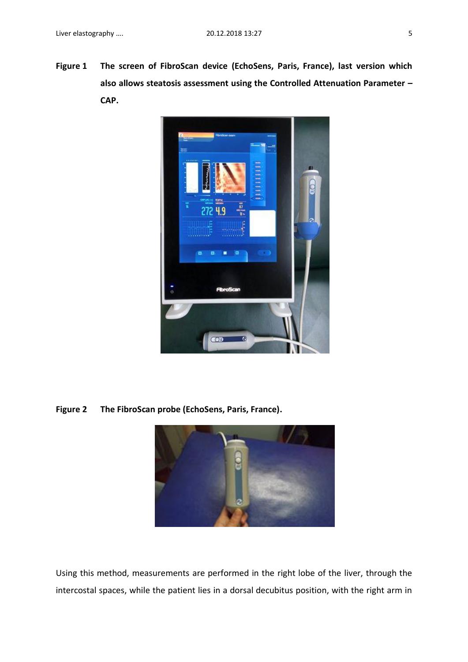**Figure 1 The screen of FibroScan device (EchoSens, Paris, France), last version which also allows steatosis assessment using the Controlled Attenuation Parameter – CAP.**



**Figure 2 The FibroScan probe (EchoSens, Paris, France).**



Using this method, measurements are performed in the right lobe of the liver, through the intercostal spaces, while the patient lies in a dorsal decubitus position, with the right arm in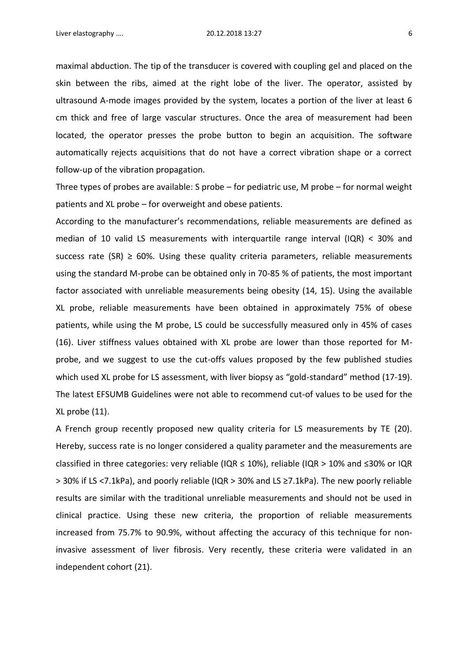maximal abduction. The tip of the transducer is covered with coupling gel and placed on the skin between the ribs, aimed at the right lobe of the liver. The operator, assisted by ultrasound A-mode images provided by the system, locates a portion of the liver at least 6 cm thick and free of large vascular structures. Once the area of measurement had been located, the operator presses the probe button to begin an acquisition. The software automatically rejects acquisitions that do not have a correct vibration shape or a correct follow-up of the vibration propagation.

Three types of probes are available: S probe – for pediatric use, M probe – for normal weight patients and XL probe – for overweight and obese patients.

According to the manufacturer's recommendations, reliable measurements are defined as median of 10 valid LS measurements with interquartile range interval (IQR) < 30% and success rate (SR)  $\geq$  60%. Using these quality criteria parameters, reliable measurements using the standard M-probe can be obtained only in 70-85 % of patients, the most important factor associated with unreliable measurements being obesity (14, 15). Using the available XL probe, reliable measurements have been obtained in approximately 75% of obese patients, while using the M probe, LS could be successfully measured only in 45% of cases (16). Liver stiffness values obtained with XL probe are lower than those reported for Mprobe, and we suggest to use the cut-offs values proposed by the few published studies which used XL probe for LS assessment, with liver biopsy as "gold-standard" method (17-19). The latest EFSUMB Guidelines were not able to recommend cut-of values to be used for the XL probe (11).

A French group recently proposed new quality criteria for LS measurements by TE (20). Hereby, success rate is no longer considered a quality parameter and the measurements are classified in three categories: very reliable (IQR ≤ 10%), reliable (IQR > 10% and ≤30% or IQR > 30% if LS <7.1kPa), and poorly reliable (IQR > 30% and LS ≥7.1kPa). The new poorly reliable results are similar with the traditional unreliable measurements and should not be used in clinical practice. Using these new criteria, the proportion of reliable measurements increased from 75.7% to 90.9%, without affecting the accuracy of this technique for noninvasive assessment of liver fibrosis. Very recently, these criteria were validated in an independent cohort (21).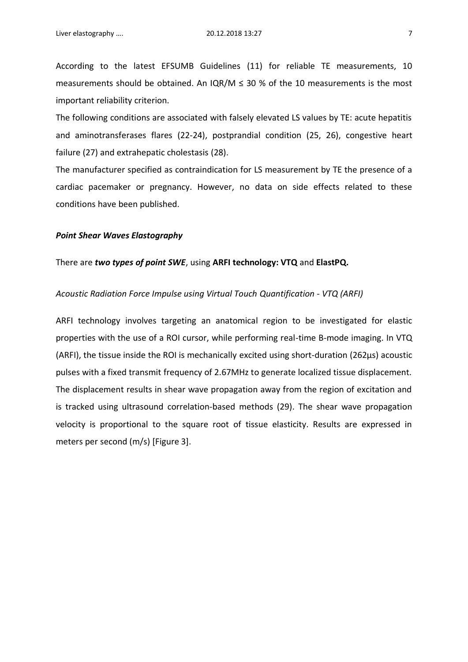According to the latest EFSUMB Guidelines (11) for reliable TE measurements, 10 measurements should be obtained. An  $IQR/M \leq 30$  % of the 10 measurements is the most important reliability criterion.

The following conditions are associated with falsely elevated LS values by TE: acute hepatitis and aminotransferases flares (22-24), postprandial condition (25, 26), congestive heart failure (27) and extrahepatic cholestasis (28).

The manufacturer specified as contraindication for LS measurement by TE the presence of a cardiac pacemaker or pregnancy. However, no data on side effects related to these conditions have been published.

#### *Point Shear Waves Elastography*

#### There are *two types of point SWE*, using **ARFI technology: VTQ** and **ElastPQ.**

#### *Acoustic Radiation Force Impulse using Virtual Touch Quantification - VTQ (ARFI)*

ARFI technology involves targeting an anatomical region to be investigated for elastic properties with the use of a ROI cursor, while performing real-time B-mode imaging. In VTQ (ARFI), the tissue inside the ROI is mechanically excited using short-duration (262µs) acoustic pulses with a fixed transmit frequency of 2.67MHz to generate localized tissue displacement. The displacement results in shear wave propagation away from the region of excitation and is tracked using ultrasound correlation-based methods (29). The shear wave propagation velocity is proportional to the square root of tissue elasticity. Results are expressed in meters per second (m/s) [Figure 3].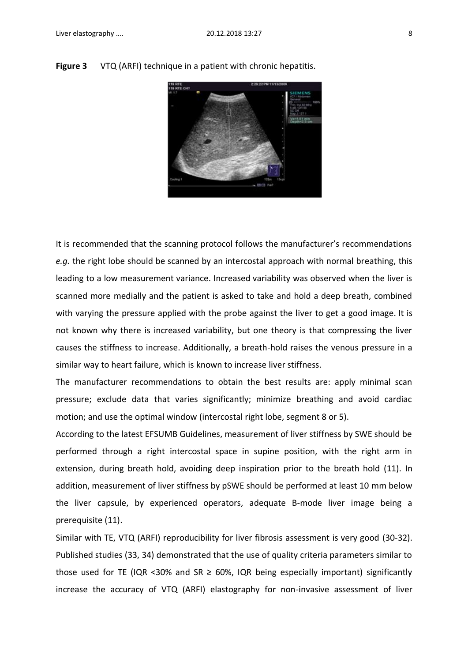

**Figure 3** VTQ (ARFI) technique in a patient with chronic hepatitis.

It is recommended that the scanning protocol follows the manufacturer's recommendations *e.g.* the right lobe should be scanned by an intercostal approach with normal breathing, this leading to a low measurement variance. Increased variability was observed when the liver is scanned more medially and the patient is asked to take and hold a deep breath, combined with varying the pressure applied with the probe against the liver to get a good image. It is not known why there is increased variability, but one theory is that compressing the liver causes the stiffness to increase. Additionally, a breath-hold raises the venous pressure in a similar way to heart failure, which is known to increase liver stiffness.

The manufacturer recommendations to obtain the best results are: apply minimal scan pressure; exclude data that varies significantly; minimize breathing and avoid cardiac motion; and use the optimal window (intercostal right lobe, segment 8 or 5).

According to the latest EFSUMB Guidelines, measurement of liver stiffness by SWE should be performed through a right intercostal space in supine position, with the right arm in extension, during breath hold, avoiding deep inspiration prior to the breath hold (11). In addition, measurement of liver stiffness by pSWE should be performed at least 10 mm below the liver capsule, by experienced operators, adequate B-mode liver image being a prerequisite (11).

Similar with TE, VTQ (ARFI) reproducibility for liver fibrosis assessment is very good (30-32). Published studies (33, 34) demonstrated that the use of quality criteria parameters similar to those used for TE (IQR <30% and SR  $\geq$  60%, IQR being especially important) significantly increase the accuracy of VTQ (ARFI) elastography for non-invasive assessment of liver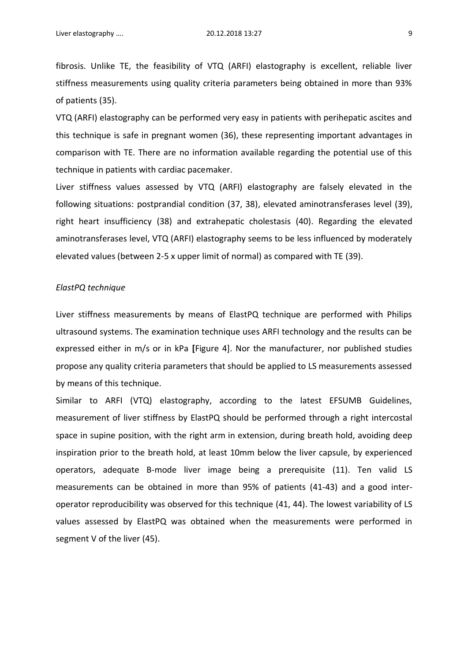fibrosis. Unlike TE, the feasibility of VTQ (ARFI) elastography is excellent, reliable liver stiffness measurements using quality criteria parameters being obtained in more than 93% of patients (35).

VTQ (ARFI) elastography can be performed very easy in patients with perihepatic ascites and this technique is safe in pregnant women (36), these representing important advantages in comparison with TE. There are no information available regarding the potential use of this technique in patients with cardiac pacemaker.

Liver stiffness values assessed by VTQ (ARFI) elastography are falsely elevated in the following situations: postprandial condition (37, 38), elevated aminotransferases level (39), right heart insufficiency (38) and extrahepatic cholestasis (40). Regarding the elevated aminotransferases level, VTQ (ARFI) elastography seems to be less influenced by moderately elevated values (between 2-5 x upper limit of normal) as compared with TE (39).

#### *ElastPQ technique*

Liver stiffness measurements by means of ElastPQ technique are performed with Philips ultrasound systems. The examination technique uses ARFI technology and the results can be expressed either in m/s or in kPa **[**Figure 4]. Nor the manufacturer, nor published studies propose any quality criteria parameters that should be applied to LS measurements assessed by means of this technique.

Similar to ARFI (VTQ) elastography, according to the latest EFSUMB Guidelines, measurement of liver stiffness by ElastPQ should be performed through a right intercostal space in supine position, with the right arm in extension, during breath hold, avoiding deep inspiration prior to the breath hold, at least 10mm below the liver capsule, by experienced operators, adequate B-mode liver image being a prerequisite (11). Ten valid LS measurements can be obtained in more than 95% of patients (41-43) and a good interoperator reproducibility was observed for this technique (41, 44). The lowest variability of LS values assessed by ElastPQ was obtained when the measurements were performed in segment V of the liver (45).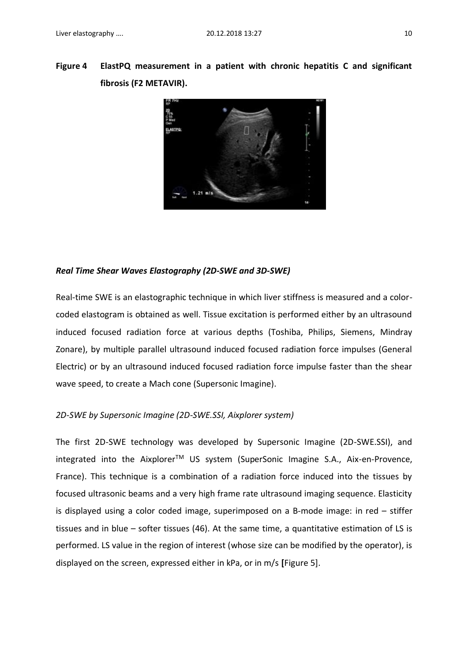



### *Real Time Shear Waves Elastography (2D-SWE and 3D-SWE)*

Real-time SWE is an elastographic technique in which liver stiffness is measured and a colorcoded elastogram is obtained as well. Tissue excitation is performed either by an ultrasound induced focused radiation force at various depths (Toshiba, Philips, Siemens, Mindray Zonare), by multiple parallel ultrasound induced focused radiation force impulses (General Electric) or by an ultrasound induced focused radiation force impulse faster than the shear wave speed, to create a Mach cone (Supersonic Imagine).

### *2D-SWE by Supersonic Imagine (2D-SWE.SSI, Aixplorer system)*

The first 2D-SWE technology was developed by Supersonic Imagine (2D-SWE.SSI), and integrated into the Aixplorer<sup>™</sup> US system (SuperSonic Imagine S.A., Aix-en-Provence, France). This technique is a combination of a radiation force induced into the tissues by focused ultrasonic beams and a very high frame rate ultrasound imaging sequence. Elasticity is displayed using a color coded image, superimposed on a B-mode image: in red – stiffer tissues and in blue – softer tissues (46). At the same time, a quantitative estimation of LS is performed. LS value in the region of interest (whose size can be modified by the operator), is displayed on the screen, expressed either in kPa, or in m/s **[**Figure 5].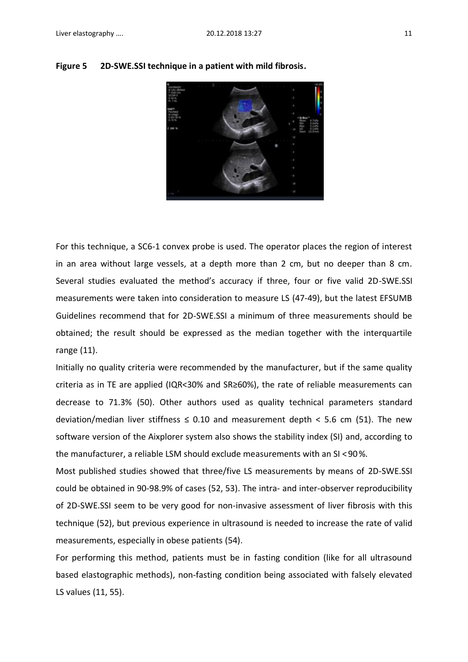

**Figure 5 2D-SWE.SSI technique in a patient with mild fibrosis.**

For this technique, a SC6-1 convex probe is used. The operator places the region of interest in an area without large vessels, at a depth more than 2 cm, but no deeper than 8 cm. Several studies evaluated the method's accuracy if three, four or five valid 2D-SWE.SSI measurements were taken into consideration to measure LS (47-49), but the latest EFSUMB Guidelines recommend that for 2D-SWE.SSI a minimum of three measurements should be obtained; the result should be expressed as the median together with the interquartile range (11).

Initially no quality criteria were recommended by the manufacturer, but if the same quality criteria as in TE are applied (IQR<30% and SR≥60%), the rate of reliable measurements can decrease to 71.3% (50). Other authors used as quality technical parameters standard deviation/median liver stiffness  $\leq$  0.10 and measurement depth  $\leq$  5.6 cm (51). The new software version of the Aixplorer system also shows the stability index (SI) and, according to the manufacturer, a reliable LSM should exclude measurements with an SI < 90 %.

Most published studies showed that three/five LS measurements by means of 2D-SWE.SSI could be obtained in 90-98.9% of cases (52, 53). The intra- and inter-observer reproducibility of 2D-SWE.SSI seem to be very good for non-invasive assessment of liver fibrosis with this technique (52), but previous experience in ultrasound is needed to increase the rate of valid measurements, especially in obese patients (54).

For performing this method, patients must be in fasting condition (like for all ultrasound based elastographic methods), non-fasting condition being associated with falsely elevated LS values (11, 55).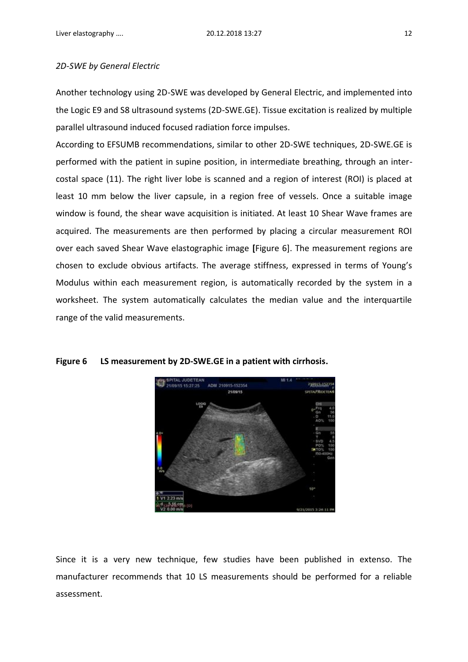#### *2D-SWE by General Electric*

Another technology using 2D-SWE was developed by General Electric, and implemented into the Logic E9 and S8 ultrasound systems (2D-SWE.GE). Tissue excitation is realized by multiple parallel ultrasound induced focused radiation force impulses.

According to EFSUMB recommendations, similar to other 2D-SWE techniques, 2D-SWE.GE is performed with the patient in supine position, in intermediate breathing, through an intercostal space (11). The right liver lobe is scanned and a region of interest (ROI) is placed at least 10 mm below the liver capsule, in a region free of vessels. Once a suitable image window is found, the shear wave acquisition is initiated. At least 10 Shear Wave frames are acquired. The measurements are then performed by placing a circular measurement ROI over each saved Shear Wave elastographic image **[**Figure 6]. The measurement regions are chosen to exclude obvious artifacts. The average stiffness, expressed in terms of Young's Modulus within each measurement region, is automatically recorded by the system in a worksheet. The system automatically calculates the median value and the interquartile range of the valid measurements.



#### **Figure 6 LS measurement by 2D-SWE.GE in a patient with cirrhosis.**

Since it is a very new technique, few studies have been published in extenso. The manufacturer recommends that 10 LS measurements should be performed for a reliable assessment.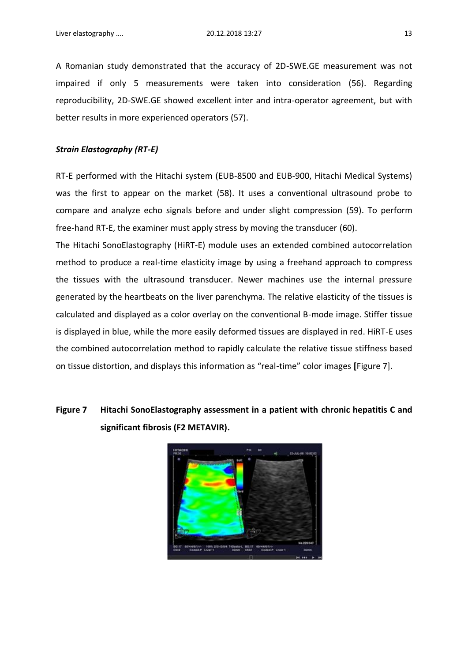A Romanian study demonstrated that the accuracy of 2D-SWE.GE measurement was not impaired if only 5 measurements were taken into consideration (56). Regarding reproducibility, 2D-SWE.GE showed excellent inter and intra-operator agreement, but with better results in more experienced operators (57).

#### *Strain Elastography (RT-E)*

RT-E performed with the Hitachi system (EUB-8500 and EUB-900, Hitachi Medical Systems) was the first to appear on the market (58). It uses a conventional ultrasound probe to compare and analyze echo signals before and under slight compression (59). To perform free-hand RT-E, the examiner must apply stress by moving the transducer (60).

The Hitachi SonoElastography (HiRT-E) module uses an extended combined autocorrelation method to produce a real-time elasticity image by using a freehand approach to compress the tissues with the ultrasound transducer. Newer machines use the internal pressure generated by the heartbeats on the liver parenchyma. The relative elasticity of the tissues is calculated and displayed as a color overlay on the conventional B-mode image. Stiffer tissue is displayed in blue, while the more easily deformed tissues are displayed in red. HiRT-E uses the combined autocorrelation method to rapidly calculate the relative tissue stiffness based on tissue distortion, and displays this information as "real-time" color images **[**Figure 7].

# **Figure 7 Hitachi SonoElastography assessment in a patient with chronic hepatitis C and significant fibrosis (F2 METAVIR).**

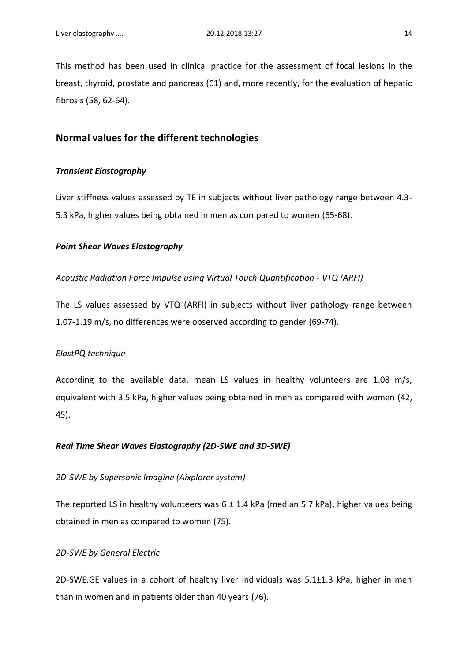This method has been used in clinical practice for the assessment of focal lesions in the breast, thyroid, prostate and pancreas (61) and, more recently, for the evaluation of hepatic fibrosis (58, 62-64).

# **Normal values for the different technologies**

#### *Transient Elastography*

Liver stiffness values assessed by TE in subjects without liver pathology range between 4.3- 5.3 kPa, higher values being obtained in men as compared to women (65-68).

#### *Point Shear Waves Elastography*

#### *Acoustic Radiation Force Impulse using Virtual Touch Quantification - VTQ (ARFI)*

The LS values assessed by VTQ (ARFI) in subjects without liver pathology range between 1.07-1.19 m/s, no differences were observed according to gender (69-74).

#### *ElastPQ technique*

According to the available data, mean LS values in healthy volunteers are 1.08 m/s, equivalent with 3.5 kPa, higher values being obtained in men as compared with women (42, 45).

#### *Real Time Shear Waves Elastography (2D-SWE and 3D-SWE)*

#### *2D-SWE by Supersonic Imagine (Aixplorer system)*

The reported LS in healthy volunteers was  $6 \pm 1.4$  kPa (median 5.7 kPa), higher values being obtained in men as compared to women (75).

#### *2D-SWE by General Electric*

2D-SWE.GE values in a cohort of healthy liver individuals was 5.1±1.3 kPa, higher in men than in women and in patients older than 40 years (76).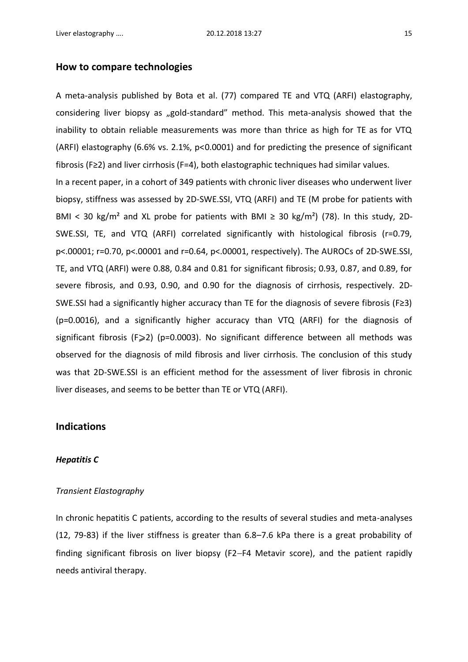### **How to compare technologies**

A meta-analysis published by Bota et al. (77) compared TE and VTQ (ARFI) elastography, considering liver biopsy as "gold-standard" method. This meta-analysis showed that the inability to obtain reliable measurements was more than thrice as high for TE as for VTQ (ARFI) elastography (6.6% vs. 2.1%, p<0.0001) and for predicting the presence of significant fibrosis (F≥2) and liver cirrhosis (F=4), both elastographic techniques had similar values.

In a recent paper, in a cohort of 349 patients with chronic liver diseases who underwent liver biopsy, stiffness was assessed by 2D-SWE.SSI, VTQ (ARFI) and TE (M probe for patients with BMI < 30 kg/m<sup>2</sup> and XL probe for patients with BMI  $\geq$  30 kg/m<sup>2</sup>) (78). In this study, 2D-SWE.SSI, TE, and VTQ (ARFI) correlated significantly with histological fibrosis (r=0.79, p<.00001; r=0.70, p<.00001 and r=0.64, p<.00001, respectively). The AUROCs of 2D-SWE.SSI, TE, and VTQ (ARFI) were 0.88, 0.84 and 0.81 for significant fibrosis; 0.93, 0.87, and 0.89, for severe fibrosis, and 0.93, 0.90, and 0.90 for the diagnosis of cirrhosis, respectively. 2D-SWE.SSI had a significantly higher accuracy than TE for the diagnosis of severe fibrosis (F≥3) (p=0.0016), and a significantly higher accuracy than VTQ (ARFI) for the diagnosis of significant fibrosis (F $\geq$ 2) (p=0.0003). No significant difference between all methods was observed for the diagnosis of mild fibrosis and liver cirrhosis. The conclusion of this study was that 2D-SWE.SSI is an efficient method for the assessment of liver fibrosis in chronic liver diseases, and seems to be better than TE or VTQ (ARFI).

## **Indications**

#### *Hepatitis C*

#### *Transient Elastography*

In chronic hepatitis C patients, according to the results of several studies and meta-analyses (12, 79-83) if the liver stiffness is greater than 6.8–7.6 kPa there is a great probability of finding significant fibrosis on liver biopsy (F2−F4 Metavir score), and the patient rapidly needs antiviral therapy.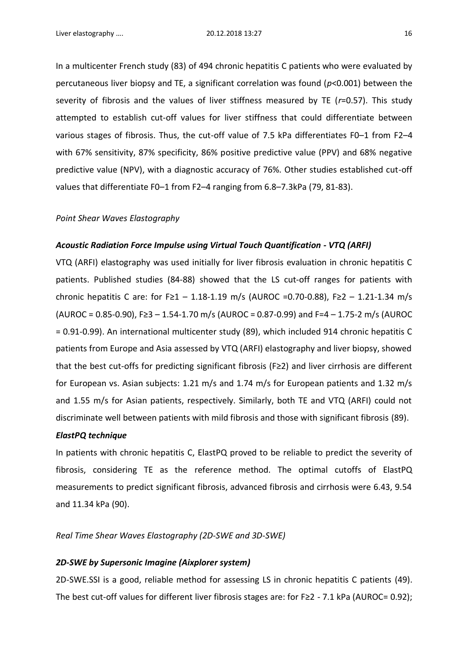In a multicenter French study (83) of 494 chronic hepatitis C patients who were evaluated by percutaneous liver biopsy and TE, a significant correlation was found (*p*<0.001) between the severity of fibrosis and the values of liver stiffness measured by TE (*r*=0.57). This study attempted to establish cut-off values for liver stiffness that could differentiate between various stages of fibrosis. Thus, the cut-off value of 7.5 kPa differentiates F0–1 from F2–4 with 67% sensitivity, 87% specificity, 86% positive predictive value (PPV) and 68% negative predictive value (NPV), with a diagnostic accuracy of 76%. Other studies established cut-off values that differentiate F0–1 from F2–4 ranging from 6.8–7.3kPa (79, 81-83).

#### *Point Shear Waves Elastography*

#### *Acoustic Radiation Force Impulse using Virtual Touch Quantification - VTQ (ARFI)*

VTQ (ARFI) elastography was used initially for liver fibrosis evaluation in chronic hepatitis C patients. Published studies (84-88) showed that the LS cut-off ranges for patients with chronic hepatitis C are: for F≥1 – 1.18-1.19 m/s (AUROC = 0.70-0.88), F≥2 – 1.21-1.34 m/s (AUROC = 0.85-0.90), F≥3 – 1.54-1.70 m/s (AUROC = 0.87-0.99) and F=4 – 1.75-2 m/s (AUROC = 0.91-0.99). An international multicenter study (89), which included 914 chronic hepatitis C patients from Europe and Asia assessed by VTQ (ARFI) elastography and liver biopsy, showed that the best cut-offs for predicting significant fibrosis (F≥2) and liver cirrhosis are different for European vs. Asian subjects: 1.21 m/s and 1.74 m/s for European patients and 1.32 m/s and 1.55 m/s for Asian patients, respectively. Similarly, both TE and VTQ (ARFI) could not discriminate well between patients with mild fibrosis and those with significant fibrosis (89).

#### *ElastPQ technique*

In patients with chronic hepatitis C, ElastPQ proved to be reliable to predict the severity of fibrosis, considering TE as the reference method. The optimal cutoffs of ElastPQ measurements to predict significant fibrosis, advanced fibrosis and cirrhosis were 6.43, 9.54 and 11.34 kPa (90).

*Real Time Shear Waves Elastography (2D-SWE and 3D-SWE)*

#### *2D-SWE by Supersonic Imagine (Aixplorer system)*

2D-SWE.SSI is a good, reliable method for assessing LS in chronic hepatitis C patients (49). The best cut-off values for different liver fibrosis stages are: for F≥2 - 7.1 kPa (AUROC= 0.92);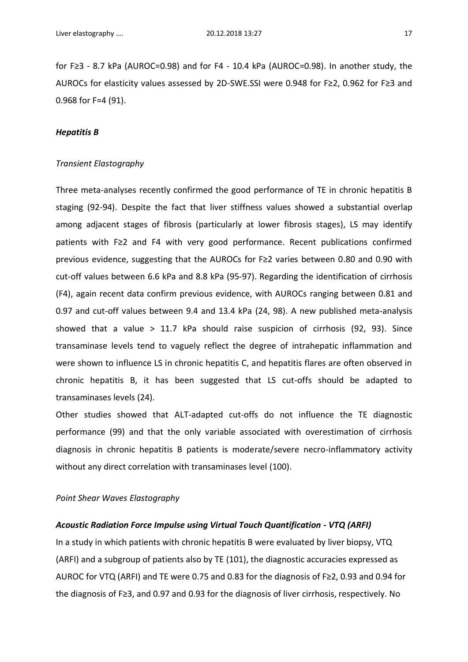for F≥3 - 8.7 kPa (AUROC=0.98) and for F4 - 10.4 kPa (AUROC=0.98). In another study, the AUROCs for elasticity values assessed by 2D-SWE.SSI were 0.948 for F≥2, 0.962 for F≥3 and 0.968 for F=4 (91).

#### *Hepatitis B*

#### *Transient Elastography*

Three meta-analyses recently confirmed the good performance of TE in chronic hepatitis B staging (92-94). Despite the fact that liver stiffness values showed a substantial overlap among adjacent stages of fibrosis (particularly at lower fibrosis stages), LS may identify patients with F≥2 and F4 with very good performance. Recent publications confirmed previous evidence, suggesting that the AUROCs for F≥2 varies between 0.80 and 0.90 with cut-off values between 6.6 kPa and 8.8 kPa (95-97). Regarding the identification of cirrhosis (F4), again recent data confirm previous evidence, with AUROCs ranging between 0.81 and 0.97 and cut-off values between 9.4 and 13.4 kPa (24, 98). A new published meta-analysis showed that a value > 11.7 kPa should raise suspicion of cirrhosis (92, 93). Since transaminase levels tend to vaguely reflect the degree of intrahepatic inflammation and were shown to influence LS in chronic hepatitis C, and hepatitis flares are often observed in chronic hepatitis B, it has been suggested that LS cut-offs should be adapted to transaminases levels (24).

Other studies showed that ALT-adapted cut-offs do not influence the TE diagnostic performance (99) and that the only variable associated with overestimation of cirrhosis diagnosis in chronic hepatitis B patients is moderate/severe necro-inflammatory activity without any direct correlation with transaminases level (100).

#### *Point Shear Waves Elastography*

#### *Acoustic Radiation Force Impulse using Virtual Touch Quantification - VTQ (ARFI)*

In a study in which patients with chronic hepatitis B were evaluated by liver biopsy, VTQ (ARFI) and a subgroup of patients also by TE (101), the diagnostic accuracies expressed as AUROC for VTQ (ARFI) and TE were 0.75 and 0.83 for the diagnosis of F≥2, 0.93 and 0.94 for the diagnosis of F≥3, and 0.97 and 0.93 for the diagnosis of liver cirrhosis, respectively. No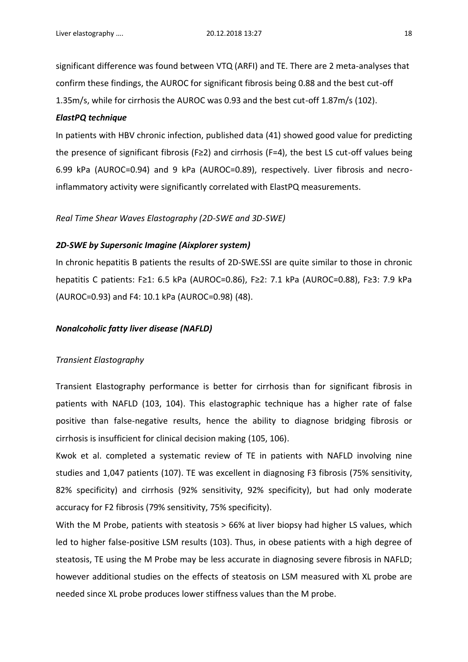significant difference was found between VTQ (ARFI) and TE. There are 2 meta-analyses that confirm these findings, the AUROC for significant fibrosis being 0.88 and the best cut-off 1.35m/s, while for cirrhosis the AUROC was 0.93 and the best cut-off 1.87m/s (102).

#### *ElastPQ technique*

In patients with HBV chronic infection, published data (41) showed good value for predicting the presence of significant fibrosis (F≥2) and cirrhosis (F=4), the best LS cut-off values being 6.99 kPa (AUROC=0.94) and 9 kPa (AUROC=0.89), respectively. Liver fibrosis and necroinflammatory activity were significantly correlated with ElastPQ measurements.

#### *Real Time Shear Waves Elastography (2D-SWE and 3D-SWE)*

#### *2D-SWE by Supersonic Imagine (Aixplorer system)*

In chronic hepatitis B patients the results of 2D-SWE.SSI are quite similar to those in chronic hepatitis C patients: F≥1: 6.5 kPa (AUROC=0.86), F≥2: 7.1 kPa (AUROC=0.88), F≥3: 7.9 kPa (AUROC=0.93) and F4: 10.1 kPa (AUROC=0.98) (48).

#### *Nonalcoholic fatty liver disease (NAFLD)*

#### *Transient Elastography*

Transient Elastography performance is better for cirrhosis than for significant fibrosis in patients with NAFLD (103, 104). This elastographic technique has a higher rate of false positive than false-negative results, hence the ability to diagnose bridging fibrosis or cirrhosis is insufficient for clinical decision making (105, 106).

Kwok et al. completed a systematic review of TE in patients with NAFLD involving nine studies and 1,047 patients (107). TE was excellent in diagnosing F3 fibrosis (75% sensitivity, 82% specificity) and cirrhosis (92% sensitivity, 92% specificity), but had only moderate accuracy for F2 fibrosis (79% sensitivity, 75% specificity).

With the M Probe, patients with steatosis > 66% at liver biopsy had higher LS values, which led to higher false-positive LSM results (103). Thus, in obese patients with a high degree of steatosis, TE using the M Probe may be less accurate in diagnosing severe fibrosis in NAFLD; however additional studies on the effects of steatosis on LSM measured with XL probe are needed since XL probe produces lower stiffness values than the M probe.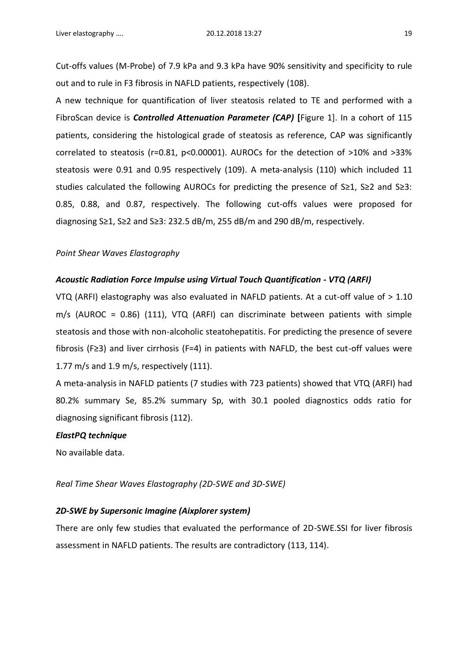Cut-offs values (M-Probe) of 7.9 kPa and 9.3 kPa have 90% sensitivity and specificity to rule out and to rule in F3 fibrosis in NAFLD patients, respectively (108).

A new technique for quantification of liver steatosis related to TE and performed with a FibroScan device is *Controlled Attenuation Parameter (CAP)* **[**Figure 1]. In a cohort of 115 patients, considering the histological grade of steatosis as reference, CAP was significantly correlated to steatosis (r=0.81, p<0.00001). AUROCs for the detection of >10% and >33% steatosis were 0.91 and 0.95 respectively (109). A meta-analysis (110) which included 11 studies calculated the following AUROCs for predicting the presence of S≥1, S≥2 and S≥3: 0.85, 0.88, and 0.87, respectively. The following cut-offs values were proposed for diagnosing S≥1, S≥2 and S≥3: 232.5 dB/m, 255 dB/m and 290 dB/m, respectively.

#### *Point Shear Waves Elastography*

#### *Acoustic Radiation Force Impulse using Virtual Touch Quantification - VTQ (ARFI)*

VTQ (ARFI) elastography was also evaluated in NAFLD patients. At a cut-off value of > 1.10 m/s (AUROC = 0.86) (111), VTQ (ARFI) can discriminate between patients with simple steatosis and those with non-alcoholic steatohepatitis. For predicting the presence of severe fibrosis (F≥3) and liver cirrhosis (F=4) in patients with NAFLD, the best cut-off values were 1.77 m/s and 1.9 m/s, respectively (111).

A meta-analysis in NAFLD patients (7 studies with 723 patients) showed that VTQ (ARFI) had 80.2% summary Se, 85.2% summary Sp, with 30.1 pooled diagnostics odds ratio for diagnosing significant fibrosis (112).

#### *ElastPQ technique*

No available data.

#### *Real Time Shear Waves Elastography (2D-SWE and 3D-SWE)*

#### *2D-SWE by Supersonic Imagine (Aixplorer system)*

There are only few studies that evaluated the performance of 2D-SWE.SSI for liver fibrosis assessment in NAFLD patients. The results are contradictory (113, 114).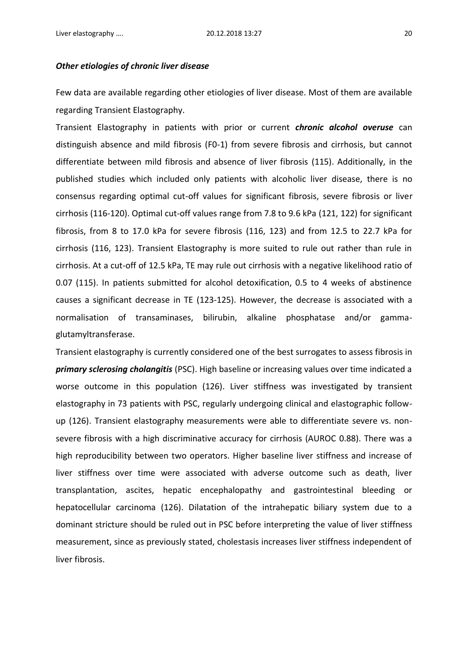#### *Other etiologies of chronic liver disease*

Few data are available regarding other etiologies of liver disease. Most of them are available regarding Transient Elastography.

Transient Elastography in patients with prior or current *chronic alcohol overuse* can distinguish absence and mild fibrosis (F0-1) from severe fibrosis and cirrhosis, but cannot differentiate between mild fibrosis and absence of liver fibrosis (115). Additionally, in the published studies which included only patients with alcoholic liver disease, there is no consensus regarding optimal cut-off values for significant fibrosis, severe fibrosis or liver cirrhosis (116-120). Optimal cut-off values range from 7.8 to 9.6 kPa (121, 122) for significant fibrosis, from 8 to 17.0 kPa for severe fibrosis (116, 123) and from 12.5 to 22.7 kPa for cirrhosis (116, 123). Transient Elastography is more suited to rule out rather than rule in cirrhosis. At a cut-off of 12.5 kPa, TE may rule out cirrhosis with a negative likelihood ratio of 0.07 (115). In patients submitted for alcohol detoxification, 0.5 to 4 weeks of abstinence causes a significant decrease in TE (123-125). However, the decrease is associated with a normalisation of transaminases, bilirubin, alkaline phosphatase and/or gammaglutamyltransferase.

Transient elastography is currently considered one of the best surrogates to assess fibrosis in *primary sclerosing cholangitis* (PSC). High baseline or increasing values over time indicated a worse outcome in this population (126). Liver stiffness was investigated by transient elastography in 73 patients with PSC, regularly undergoing clinical and elastographic followup (126). Transient elastography measurements were able to differentiate severe vs. nonsevere fibrosis with a high discriminative accuracy for cirrhosis (AUROC 0.88). There was a high reproducibility between two operators. Higher baseline liver stiffness and increase of liver stiffness over time were associated with adverse outcome such as death, liver transplantation, ascites, hepatic encephalopathy and gastrointestinal bleeding or hepatocellular carcinoma (126). Dilatation of the intrahepatic biliary system due to a dominant stricture should be ruled out in PSC before interpreting the value of liver stiffness measurement, since as previously stated, cholestasis increases liver stiffness independent of liver fibrosis.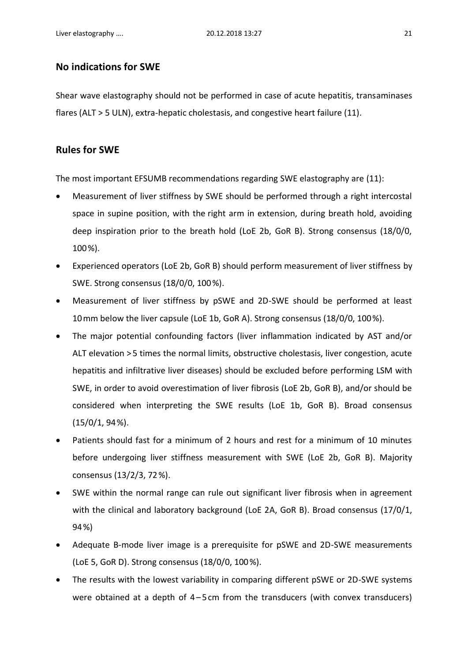# **No indications for SWE**

Shear wave elastography should not be performed in case of acute hepatitis, transaminases flares (ALT > 5 ULN), extra-hepatic cholestasis, and congestive heart failure (11).

# **Rules for SWE**

The most important EFSUMB recommendations regarding SWE elastography are (11):

- Measurement of liver stiffness by SWE should be performed through a right intercostal space in supine position, with the right arm in extension, during breath hold, avoiding deep inspiration prior to the breath hold (LoE 2b, GoR B). Strong consensus (18/0/0, 100 %).
- Experienced operators (LoE 2b, GoR B) should perform measurement of liver stiffness by SWE. Strong consensus (18/0/0, 100 %).
- Measurement of liver stiffness by pSWE and 2D-SWE should be performed at least 10 mm below the liver capsule (LoE 1b, GoR A). Strong consensus (18/0/0, 100 %).
- The major potential confounding factors (liver inflammation indicated by AST and/or ALT elevation > 5 times the normal limits, obstructive cholestasis, liver congestion, acute hepatitis and infiltrative liver diseases) should be excluded before performing LSM with SWE, in order to avoid overestimation of liver fibrosis (LoE 2b, GoR B), and/or should be considered when interpreting the SWE results (LoE 1b, GoR B). Broad consensus  $(15/0/1, 94%).$
- Patients should fast for a minimum of 2 hours and rest for a minimum of 10 minutes before undergoing liver stiffness measurement with SWE (LoE 2b, GoR B). Majority consensus (13/2/3, 72 %).
- SWE within the normal range can rule out significant liver fibrosis when in agreement with the clinical and laboratory background (LoE 2A, GoR B). Broad consensus (17/0/1, 94 %)
- Adequate B-mode liver image is a prerequisite for pSWE and 2D-SWE measurements (LoE 5, GoR D). Strong consensus (18/0/0, 100 %).
- The results with the lowest variability in comparing different pSWE or 2D-SWE systems were obtained at a depth of 4–5cm from the transducers (with convex transducers)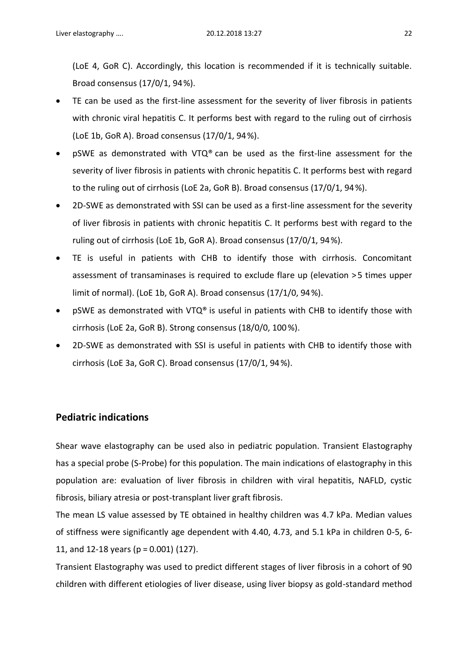(LoE 4, GoR C). Accordingly, this location is recommended if it is technically suitable. Broad consensus (17/0/1, 94 %).

- TE can be used as the first-line assessment for the severity of liver fibrosis in patients with chronic viral hepatitis C. It performs best with regard to the ruling out of cirrhosis (LoE 1b, GoR A). Broad consensus (17/0/1, 94 %).
- pSWE as demonstrated with VTQ® can be used as the first-line assessment for the severity of liver fibrosis in patients with chronic hepatitis C. It performs best with regard to the ruling out of cirrhosis (LoE 2a, GoR B). Broad consensus (17/0/1, 94 %).
- 2D-SWE as demonstrated with SSI can be used as a first-line assessment for the severity of liver fibrosis in patients with chronic hepatitis C. It performs best with regard to the ruling out of cirrhosis (LoE 1b, GoR A). Broad consensus (17/0/1, 94 %).
- TE is useful in patients with CHB to identify those with cirrhosis. Concomitant assessment of transaminases is required to exclude flare up (elevation > 5 times upper limit of normal). (LoE 1b, GoR A). Broad consensus (17/1/0, 94 %).
- pSWE as demonstrated with VTQ® is useful in patients with CHB to identify those with cirrhosis (LoE 2a, GoR B). Strong consensus (18/0/0, 100 %).
- 2D-SWE as demonstrated with SSI is useful in patients with CHB to identify those with cirrhosis (LoE 3a, GoR C). Broad consensus (17/0/1, 94 %).

# **Pediatric indications**

Shear wave elastography can be used also in pediatric population. Transient Elastography has a special probe (S-Probe) for this population. The main indications of elastography in this population are: evaluation of liver fibrosis in children with viral hepatitis, NAFLD, cystic fibrosis, biliary atresia or post-transplant liver graft fibrosis.

The mean LS value assessed by TE obtained in healthy children was 4.7 kPa. Median values of stiffness were significantly age dependent with 4.40, 4.73, and 5.1 kPa in children 0-5, 6- 11, and 12-18 years (p = 0.001) (127).

Transient Elastography was used to predict different stages of liver fibrosis in a cohort of 90 children with different etiologies of liver disease, using liver biopsy as gold-standard method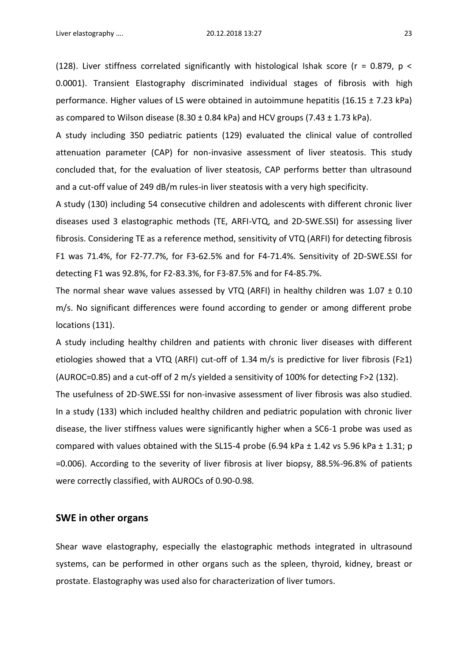(128). Liver stiffness correlated significantly with histological Ishak score ( $r = 0.879$ ,  $p <$ 0.0001). Transient Elastography discriminated individual stages of fibrosis with high performance. Higher values of LS were obtained in autoimmune hepatitis (16.15 ± 7.23 kPa) as compared to Wilson disease  $(8.30 \pm 0.84 \text{ kPa})$  and HCV groups  $(7.43 \pm 1.73 \text{ kPa})$ .

A study including 350 pediatric patients (129) evaluated the clinical value of controlled attenuation parameter (CAP) for non-invasive assessment of liver steatosis. This study concluded that, for the evaluation of liver steatosis, CAP performs better than ultrasound and a cut-off value of 249 dB/m rules-in liver steatosis with a very high specificity.

A study (130) including 54 consecutive children and adolescents with different chronic liver diseases used 3 elastographic methods (TE, ARFI-VTQ, and 2D-SWE.SSI) for assessing liver fibrosis. Considering TE as a reference method, sensitivity of VTQ (ARFI) for detecting fibrosis F1 was 71.4%, for F2-77.7%, for F3-62.5% and for F4-71.4%. Sensitivity of 2D-SWE.SSI for detecting F1 was 92.8%, for F2-83.3%, for F3-87.5% and for F4-85.7%.

The normal shear wave values assessed by VTQ (ARFI) in healthy children was  $1.07 \pm 0.10$ m/s. No significant differences were found according to gender or among different probe locations (131).

A study including healthy children and patients with chronic liver diseases with different etiologies showed that a VTQ (ARFI) cut-off of 1.34 m/s is predictive for liver fibrosis (F≥1) (AUROC=0.85) and a cut-off of 2 m/s yielded a sensitivity of 100% for detecting F>2 (132).

The usefulness of 2D-SWE.SSI for non-invasive assessment of liver fibrosis was also studied. In a study (133) which included healthy children and pediatric population with chronic liver disease, the liver stiffness values were significantly higher when a SC6-1 probe was used as compared with values obtained with the SL15-4 probe (6.94 kPa  $\pm$  1.42 vs 5.96 kPa  $\pm$  1.31; p =0.006). According to the severity of liver fibrosis at liver biopsy, 88.5%-96.8% of patients were correctly classified, with AUROCs of 0.90-0.98.

### **SWE in other organs**

Shear wave elastography, especially the elastographic methods integrated in ultrasound systems, can be performed in other organs such as the spleen, thyroid, kidney, breast or prostate. Elastography was used also for characterization of liver tumors.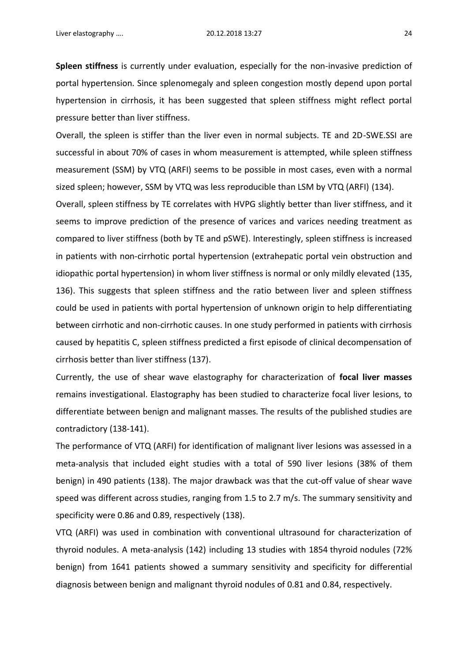**Spleen stiffness** is currently under evaluation, especially for the non-invasive prediction of portal hypertension. Since splenomegaly and spleen congestion mostly depend upon portal hypertension in cirrhosis, it has been suggested that spleen stiffness might reflect portal pressure better than liver stiffness.

Overall, the spleen is stiffer than the liver even in normal subjects. TE and 2D-SWE.SSI are successful in about 70% of cases in whom measurement is attempted, while spleen stiffness measurement (SSM) by VTQ (ARFI) seems to be possible in most cases, even with a normal sized spleen; however, SSM by VTQ was less reproducible than LSM by VTQ (ARFI) (134).

Overall, spleen stiffness by TE correlates with HVPG slightly better than liver stiffness, and it seems to improve prediction of the presence of varices and varices needing treatment as compared to liver stiffness (both by TE and pSWE). Interestingly, spleen stiffness is increased in patients with non-cirrhotic portal hypertension (extrahepatic portal vein obstruction and idiopathic portal hypertension) in whom liver stiffness is normal or only mildly elevated (135, 136). This suggests that spleen stiffness and the ratio between liver and spleen stiffness could be used in patients with portal hypertension of unknown origin to help differentiating between cirrhotic and non-cirrhotic causes. In one study performed in patients with cirrhosis caused by hepatitis C, spleen stiffness predicted a first episode of clinical decompensation of cirrhosis better than liver stiffness (137).

Currently, the use of shear wave elastography for characterization of **focal liver masses** remains investigational. Elastography has been studied to characterize focal liver lesions, to differentiate between benign and malignant masses. The results of the published studies are contradictory (138-141).

The performance of VTQ (ARFI) for identification of malignant liver lesions was assessed in a meta-analysis that included eight studies with a total of 590 liver lesions (38% of them benign) in 490 patients (138). The major drawback was that the cut-off value of shear wave speed was different across studies, ranging from 1.5 to 2.7 m/s. The summary sensitivity and specificity were 0.86 and 0.89, respectively (138).

VTQ (ARFI) was used in combination with conventional ultrasound for characterization of thyroid nodules. A meta-analysis (142) including 13 studies with 1854 thyroid nodules (72% benign) from 1641 patients showed a summary sensitivity and specificity for differential diagnosis between benign and malignant thyroid nodules of 0.81 and 0.84, respectively.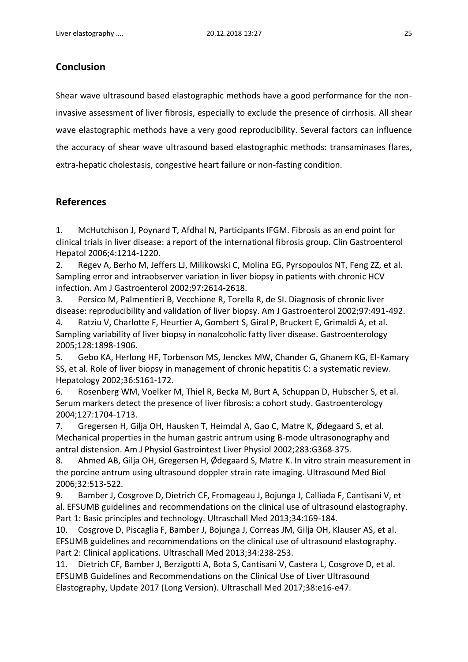# **Conclusion**

Shear wave ultrasound based elastographic methods have a good performance for the noninvasive assessment of liver fibrosis, especially to exclude the presence of cirrhosis. All shear wave elastographic methods have a very good reproducibility. Several factors can influence the accuracy of shear wave ultrasound based elastographic methods: transaminases flares, extra-hepatic cholestasis, congestive heart failure or non-fasting condition.

# **References**

1. McHutchison J, Poynard T, Afdhal N, Participants IFGM. Fibrosis as an end point for clinical trials in liver disease: a report of the international fibrosis group. Clin Gastroenterol Hepatol 2006;4:1214-1220.

2. Regev A, Berho M, Jeffers LJ, Milikowski C, Molina EG, Pyrsopoulos NT, Feng ZZ, et al. Sampling error and intraobserver variation in liver biopsy in patients with chronic HCV infection. Am J Gastroenterol 2002;97:2614-2618.

3. Persico M, Palmentieri B, Vecchione R, Torella R, de SI. Diagnosis of chronic liver disease: reproducibility and validation of liver biopsy. Am J Gastroenterol 2002;97:491-492.

4. Ratziu V, Charlotte F, Heurtier A, Gombert S, Giral P, Bruckert E, Grimaldi A, et al. Sampling variability of liver biopsy in nonalcoholic fatty liver disease. Gastroenterology 2005;128:1898-1906.

5. Gebo KA, Herlong HF, Torbenson MS, Jenckes MW, Chander G, Ghanem KG, El-Kamary SS, et al. Role of liver biopsy in management of chronic hepatitis C: a systematic review. Hepatology 2002;36:S161-172.

6. Rosenberg WM, Voelker M, Thiel R, Becka M, Burt A, Schuppan D, Hubscher S, et al. Serum markers detect the presence of liver fibrosis: a cohort study. Gastroenterology 2004;127:1704-1713.

7. Gregersen H, Gilja OH, Hausken T, Heimdal A, Gao C, Matre K, Ødegaard S, et al. Mechanical properties in the human gastric antrum using B-mode ultrasonography and antral distension. Am J Physiol Gastrointest Liver Physiol 2002;283:G368-375.

8. Ahmed AB, Gilja OH, Gregersen H, Ødegaard S, Matre K. In vitro strain measurement in the porcine antrum using ultrasound doppler strain rate imaging. Ultrasound Med Biol 2006;32:513-522.

9. Bamber J, Cosgrove D, Dietrich CF, Fromageau J, Bojunga J, Calliada F, Cantisani V, et al. EFSUMB guidelines and recommendations on the clinical use of ultrasound elastography. Part 1: Basic principles and technology. Ultraschall Med 2013;34:169-184.

10. Cosgrove D, Piscaglia F, Bamber J, Bojunga J, Correas JM, Gilja OH, Klauser AS, et al. EFSUMB guidelines and recommendations on the clinical use of ultrasound elastography. Part 2: Clinical applications. Ultraschall Med 2013;34:238-253.

11. Dietrich CF, Bamber J, Berzigotti A, Bota S, Cantisani V, Castera L, Cosgrove D, et al. EFSUMB Guidelines and Recommendations on the Clinical Use of Liver Ultrasound Elastography, Update 2017 (Long Version). Ultraschall Med 2017;38:e16-e47.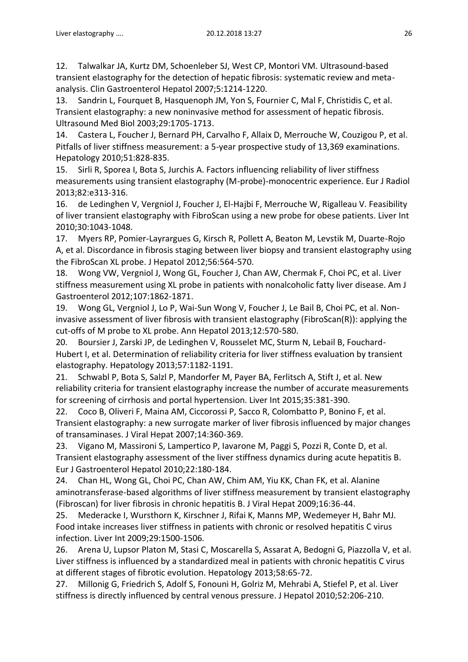12. Talwalkar JA, Kurtz DM, Schoenleber SJ, West CP, Montori VM. Ultrasound-based transient elastography for the detection of hepatic fibrosis: systematic review and metaanalysis. Clin Gastroenterol Hepatol 2007;5:1214-1220.

13. Sandrin L, Fourquet B, Hasquenoph JM, Yon S, Fournier C, Mal F, Christidis C, et al. Transient elastography: a new noninvasive method for assessment of hepatic fibrosis. Ultrasound Med Biol 2003;29:1705-1713.

14. Castera L, Foucher J, Bernard PH, Carvalho F, Allaix D, Merrouche W, Couzigou P, et al. Pitfalls of liver stiffness measurement: a 5-year prospective study of 13,369 examinations. Hepatology 2010;51:828-835.

15. Sirli R, Sporea I, Bota S, Jurchis A. Factors influencing reliability of liver stiffness measurements using transient elastography (M-probe)-monocentric experience. Eur J Radiol 2013;82:e313-316.

16. de Ledinghen V, Vergniol J, Foucher J, El-Hajbi F, Merrouche W, Rigalleau V. Feasibility of liver transient elastography with FibroScan using a new probe for obese patients. Liver Int 2010;30:1043-1048.

17. Myers RP, Pomier-Layrargues G, Kirsch R, Pollett A, Beaton M, Levstik M, Duarte-Rojo A, et al. Discordance in fibrosis staging between liver biopsy and transient elastography using the FibroScan XL probe. J Hepatol 2012;56:564-570.

18. Wong VW, Vergniol J, Wong GL, Foucher J, Chan AW, Chermak F, Choi PC, et al. Liver stiffness measurement using XL probe in patients with nonalcoholic fatty liver disease. Am J Gastroenterol 2012;107:1862-1871.

19. Wong GL, Vergniol J, Lo P, Wai-Sun Wong V, Foucher J, Le Bail B, Choi PC, et al. Noninvasive assessment of liver fibrosis with transient elastography (FibroScan(R)): applying the cut-offs of M probe to XL probe. Ann Hepatol 2013;12:570-580.

20. Boursier J, Zarski JP, de Ledinghen V, Rousselet MC, Sturm N, Lebail B, Fouchard-Hubert I, et al. Determination of reliability criteria for liver stiffness evaluation by transient elastography. Hepatology 2013;57:1182-1191.

21. Schwabl P, Bota S, Salzl P, Mandorfer M, Payer BA, Ferlitsch A, Stift J, et al. New reliability criteria for transient elastography increase the number of accurate measurements for screening of cirrhosis and portal hypertension. Liver Int 2015;35:381-390.

22. Coco B, Oliveri F, Maina AM, Ciccorossi P, Sacco R, Colombatto P, Bonino F, et al. Transient elastography: a new surrogate marker of liver fibrosis influenced by major changes of transaminases. J Viral Hepat 2007;14:360-369.

23. Vigano M, Massironi S, Lampertico P, Iavarone M, Paggi S, Pozzi R, Conte D, et al. Transient elastography assessment of the liver stiffness dynamics during acute hepatitis B. Eur J Gastroenterol Hepatol 2010;22:180-184.

24. Chan HL, Wong GL, Choi PC, Chan AW, Chim AM, Yiu KK, Chan FK, et al. Alanine aminotransferase-based algorithms of liver stiffness measurement by transient elastography (Fibroscan) for liver fibrosis in chronic hepatitis B. J Viral Hepat 2009;16:36-44.

25. Mederacke I, Wursthorn K, Kirschner J, Rifai K, Manns MP, Wedemeyer H, Bahr MJ. Food intake increases liver stiffness in patients with chronic or resolved hepatitis C virus infection. Liver Int 2009;29:1500-1506.

26. Arena U, Lupsor Platon M, Stasi C, Moscarella S, Assarat A, Bedogni G, Piazzolla V, et al. Liver stiffness is influenced by a standardized meal in patients with chronic hepatitis C virus at different stages of fibrotic evolution. Hepatology 2013;58:65-72.

27. Millonig G, Friedrich S, Adolf S, Fonouni H, Golriz M, Mehrabi A, Stiefel P, et al. Liver stiffness is directly influenced by central venous pressure. J Hepatol 2010;52:206-210.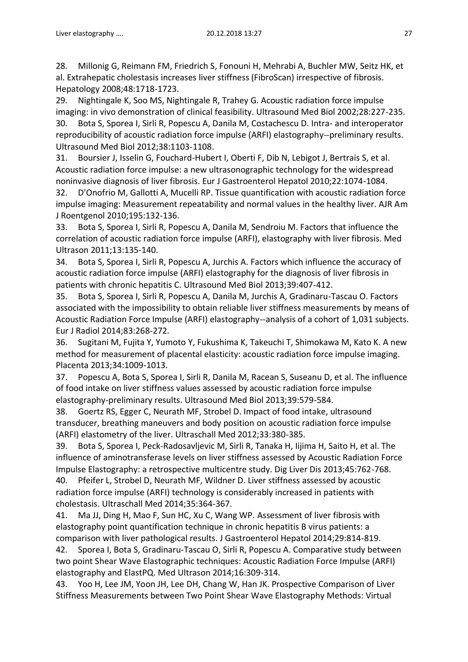28. Millonig G, Reimann FM, Friedrich S, Fonouni H, Mehrabi A, Buchler MW, Seitz HK, et al. Extrahepatic cholestasis increases liver stiffness (FibroScan) irrespective of fibrosis. Hepatology 2008;48:1718-1723.

29. Nightingale K, Soo MS, Nightingale R, Trahey G. Acoustic radiation force impulse imaging: in vivo demonstration of clinical feasibility. Ultrasound Med Biol 2002;28:227-235. 30. Bota S, Sporea I, Sirli R, Popescu A, Danila M, Costachescu D. Intra- and interoperator reproducibility of acoustic radiation force impulse (ARFI) elastography--preliminary results. Ultrasound Med Biol 2012;38:1103-1108.

31. Boursier J, Isselin G, Fouchard-Hubert I, Oberti F, Dib N, Lebigot J, Bertrais S, et al. Acoustic radiation force impulse: a new ultrasonographic technology for the widespread noninvasive diagnosis of liver fibrosis. Eur J Gastroenterol Hepatol 2010;22:1074-1084.

32. D'Onofrio M, Gallotti A, Mucelli RP. Tissue quantification with acoustic radiation force impulse imaging: Measurement repeatability and normal values in the healthy liver. AJR Am J Roentgenol 2010;195:132-136.

33. Bota S, Sporea I, Sirli R, Popescu A, Danila M, Sendroiu M. Factors that influence the correlation of acoustic radiation force impulse (ARFI), elastography with liver fibrosis. Med Ultrason 2011;13:135-140.

34. Bota S, Sporea I, Sirli R, Popescu A, Jurchis A. Factors which influence the accuracy of acoustic radiation force impulse (ARFI) elastography for the diagnosis of liver fibrosis in patients with chronic hepatitis C. Ultrasound Med Biol 2013;39:407-412.

35. Bota S, Sporea I, Sirli R, Popescu A, Danila M, Jurchis A, Gradinaru-Tascau O. Factors associated with the impossibility to obtain reliable liver stiffness measurements by means of Acoustic Radiation Force Impulse (ARFI) elastography--analysis of a cohort of 1,031 subjects. Eur J Radiol 2014;83:268-272.

36. Sugitani M, Fujita Y, Yumoto Y, Fukushima K, Takeuchi T, Shimokawa M, Kato K. A new method for measurement of placental elasticity: acoustic radiation force impulse imaging. Placenta 2013;34:1009-1013.

37. Popescu A, Bota S, Sporea I, Sirli R, Danila M, Racean S, Suseanu D, et al. The influence of food intake on liver stiffness values assessed by acoustic radiation force impulse elastography-preliminary results. Ultrasound Med Biol 2013;39:579-584.

38. Goertz RS, Egger C, Neurath MF, Strobel D. Impact of food intake, ultrasound transducer, breathing maneuvers and body position on acoustic radiation force impulse (ARFI) elastometry of the liver. Ultraschall Med 2012;33:380-385.

39. Bota S, Sporea I, Peck-Radosavljevic M, Sirli R, Tanaka H, Iijima H, Saito H, et al. The influence of aminotransferase levels on liver stiffness assessed by Acoustic Radiation Force Impulse Elastography: a retrospective multicentre study. Dig Liver Dis 2013;45:762-768. 40. Pfeifer L, Strobel D, Neurath MF, Wildner D. Liver stiffness assessed by acoustic

radiation force impulse (ARFI) technology is considerably increased in patients with cholestasis. Ultraschall Med 2014;35:364-367.

41. Ma JJ, Ding H, Mao F, Sun HC, Xu C, Wang WP. Assessment of liver fibrosis with elastography point quantification technique in chronic hepatitis B virus patients: a comparison with liver pathological results. J Gastroenterol Hepatol 2014;29:814-819.

42. Sporea I, Bota S, Gradinaru-Tascau O, Sirli R, Popescu A. Comparative study between two point Shear Wave Elastographic techniques: Acoustic Radiation Force Impulse (ARFI) elastography and ElastPQ. Med Ultrason 2014;16:309-314.

43. Yoo H, Lee JM, Yoon JH, Lee DH, Chang W, Han JK. Prospective Comparison of Liver Stiffness Measurements between Two Point Shear Wave Elastography Methods: Virtual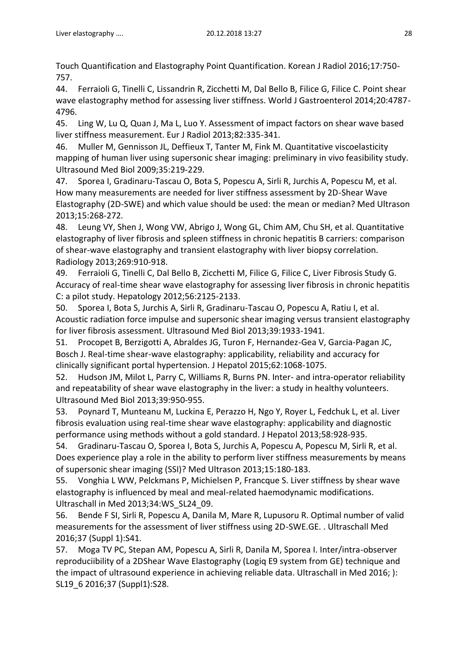Touch Quantification and Elastography Point Quantification. Korean J Radiol 2016;17:750- 757.

44. Ferraioli G, Tinelli C, Lissandrin R, Zicchetti M, Dal Bello B, Filice G, Filice C. Point shear wave elastography method for assessing liver stiffness. World J Gastroenterol 2014;20:4787- 4796.

45. Ling W, Lu Q, Quan J, Ma L, Luo Y. Assessment of impact factors on shear wave based liver stiffness measurement. Eur J Radiol 2013;82:335-341.

46. Muller M, Gennisson JL, Deffieux T, Tanter M, Fink M. Quantitative viscoelasticity mapping of human liver using supersonic shear imaging: preliminary in vivo feasibility study. Ultrasound Med Biol 2009;35:219-229.

47. Sporea I, Gradinaru-Tascau O, Bota S, Popescu A, Sirli R, Jurchis A, Popescu M, et al. How many measurements are needed for liver stiffness assessment by 2D-Shear Wave Elastography (2D-SWE) and which value should be used: the mean or median? Med Ultrason 2013;15:268-272.

48. Leung VY, Shen J, Wong VW, Abrigo J, Wong GL, Chim AM, Chu SH, et al. Quantitative elastography of liver fibrosis and spleen stiffness in chronic hepatitis B carriers: comparison of shear-wave elastography and transient elastography with liver biopsy correlation. Radiology 2013;269:910-918.

49. Ferraioli G, Tinelli C, Dal Bello B, Zicchetti M, Filice G, Filice C, Liver Fibrosis Study G. Accuracy of real-time shear wave elastography for assessing liver fibrosis in chronic hepatitis C: a pilot study. Hepatology 2012;56:2125-2133.

50. Sporea I, Bota S, Jurchis A, Sirli R, Gradinaru-Tascau O, Popescu A, Ratiu I, et al. Acoustic radiation force impulse and supersonic shear imaging versus transient elastography for liver fibrosis assessment. Ultrasound Med Biol 2013;39:1933-1941.

51. Procopet B, Berzigotti A, Abraldes JG, Turon F, Hernandez-Gea V, Garcia-Pagan JC, Bosch J. Real-time shear-wave elastography: applicability, reliability and accuracy for clinically significant portal hypertension. J Hepatol 2015;62:1068-1075.

52. Hudson JM, Milot L, Parry C, Williams R, Burns PN. Inter- and intra-operator reliability and repeatability of shear wave elastography in the liver: a study in healthy volunteers. Ultrasound Med Biol 2013;39:950-955.

53. Poynard T, Munteanu M, Luckina E, Perazzo H, Ngo Y, Royer L, Fedchuk L, et al. Liver fibrosis evaluation using real-time shear wave elastography: applicability and diagnostic performance using methods without a gold standard. J Hepatol 2013;58:928-935.

54. Gradinaru-Tascau O, Sporea I, Bota S, Jurchis A, Popescu A, Popescu M, Sirli R, et al. Does experience play a role in the ability to perform liver stiffness measurements by means of supersonic shear imaging (SSI)? Med Ultrason 2013;15:180-183.

55. Vonghia L WW, Pelckmans P, Michielsen P, Francque S. Liver stiffness by shear wave elastography is influenced by meal and meal-related haemodynamic modifications. Ultraschall in Med 2013;34:WS\_SL24\_09.

56. Bende F SI, Sirli R, Popescu A, Danila M, Mare R, Lupusoru R. Optimal number of valid measurements for the assessment of liver stiffness using 2D-SWE.GE. . Ultraschall Med 2016;37 (Suppl 1):S41.

57. Moga TV PC, Stepan AM, Popescu A, Sirli R, Danila M, Sporea I. Inter/intra-observer reproduciibility of a 2DShear Wave Elastography (Logiq E9 system from GE) technique and the impact of ultrasound experience in achieving reliable data. Ultraschall in Med 2016; ): SL19\_6 2016;37 (Suppl1):S28.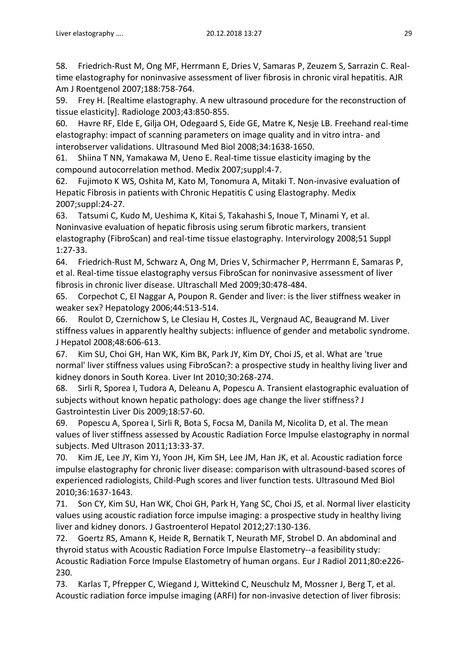58. Friedrich-Rust M, Ong MF, Herrmann E, Dries V, Samaras P, Zeuzem S, Sarrazin C. Realtime elastography for noninvasive assessment of liver fibrosis in chronic viral hepatitis. AJR Am J Roentgenol 2007;188:758-764.

59. Frey H. [Realtime elastography. A new ultrasound procedure for the reconstruction of tissue elasticity]. Radiologe 2003;43:850-855.

60. Havre RF, Elde E, Gilja OH, Odegaard S, Eide GE, Matre K, Nesje LB. Freehand real-time elastography: impact of scanning parameters on image quality and in vitro intra- and interobserver validations. Ultrasound Med Biol 2008;34:1638-1650.

61. Shiina T NN, Yamakawa M, Ueno E. Real-time tissue elasticity imaging by the compound autocorrelation method. Medix 2007;suppl:4-7.

62. Fujimoto K WS, Oshita M, Kato M, Tonomura A, Mitaki T. Non-invasive evaluation of Hepatic Fibrosis in patients with Chronic Hepatitis C using Elastography. Medix 2007;suppl:24-27.

63. Tatsumi C, Kudo M, Ueshima K, Kitai S, Takahashi S, Inoue T, Minami Y, et al. Noninvasive evaluation of hepatic fibrosis using serum fibrotic markers, transient elastography (FibroScan) and real-time tissue elastography. Intervirology 2008;51 Suppl 1:27-33.

64. Friedrich-Rust M, Schwarz A, Ong M, Dries V, Schirmacher P, Herrmann E, Samaras P, et al. Real-time tissue elastography versus FibroScan for noninvasive assessment of liver fibrosis in chronic liver disease. Ultraschall Med 2009;30:478-484.

65. Corpechot C, El Naggar A, Poupon R. Gender and liver: is the liver stiffness weaker in weaker sex? Hepatology 2006;44:513-514.

66. Roulot D, Czernichow S, Le Clesiau H, Costes JL, Vergnaud AC, Beaugrand M. Liver stiffness values in apparently healthy subjects: influence of gender and metabolic syndrome. J Hepatol 2008;48:606-613.

67. Kim SU, Choi GH, Han WK, Kim BK, Park JY, Kim DY, Choi JS, et al. What are 'true normal' liver stiffness values using FibroScan?: a prospective study in healthy living liver and kidney donors in South Korea. Liver Int 2010;30:268-274.

68. Sirli R, Sporea I, Tudora A, Deleanu A, Popescu A. Transient elastographic evaluation of subjects without known hepatic pathology: does age change the liver stiffness? J Gastrointestin Liver Dis 2009;18:57-60.

69. Popescu A, Sporea I, Sirli R, Bota S, Focsa M, Danila M, Nicolita D, et al. The mean values of liver stiffness assessed by Acoustic Radiation Force Impulse elastography in normal subjects. Med Ultrason 2011;13:33-37.

70. Kim JE, Lee JY, Kim YJ, Yoon JH, Kim SH, Lee JM, Han JK, et al. Acoustic radiation force impulse elastography for chronic liver disease: comparison with ultrasound-based scores of experienced radiologists, Child-Pugh scores and liver function tests. Ultrasound Med Biol 2010;36:1637-1643.

71. Son CY, Kim SU, Han WK, Choi GH, Park H, Yang SC, Choi JS, et al. Normal liver elasticity values using acoustic radiation force impulse imaging: a prospective study in healthy living liver and kidney donors. J Gastroenterol Hepatol 2012;27:130-136.

72. Goertz RS, Amann K, Heide R, Bernatik T, Neurath MF, Strobel D. An abdominal and thyroid status with Acoustic Radiation Force Impulse Elastometry--a feasibility study: Acoustic Radiation Force Impulse Elastometry of human organs. Eur J Radiol 2011;80:e226- 230.

73. Karlas T, Pfrepper C, Wiegand J, Wittekind C, Neuschulz M, Mossner J, Berg T, et al. Acoustic radiation force impulse imaging (ARFI) for non-invasive detection of liver fibrosis: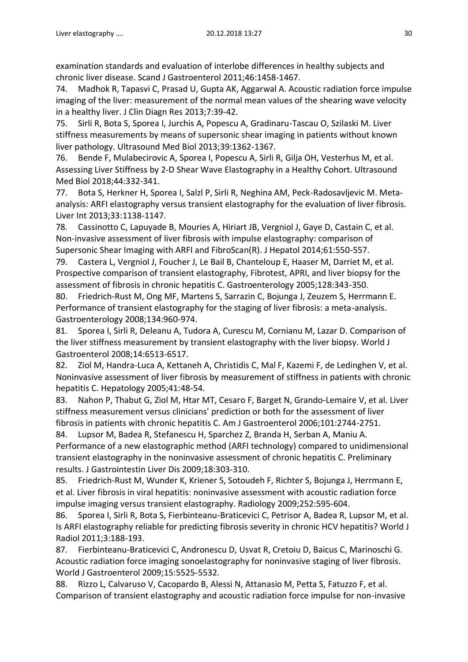examination standards and evaluation of interlobe differences in healthy subjects and chronic liver disease. Scand J Gastroenterol 2011;46:1458-1467.

74. Madhok R, Tapasvi C, Prasad U, Gupta AK, Aggarwal A. Acoustic radiation force impulse imaging of the liver: measurement of the normal mean values of the shearing wave velocity in a healthy liver. J Clin Diagn Res 2013;7:39-42.

75. Sirli R, Bota S, Sporea I, Jurchis A, Popescu A, Gradinaru-Tascau O, Szilaski M. Liver stiffness measurements by means of supersonic shear imaging in patients without known liver pathology. Ultrasound Med Biol 2013;39:1362-1367.

76. Bende F, Mulabecirovic A, Sporea I, Popescu A, Sirli R, Gilja OH, Vesterhus M, et al. Assessing Liver Stiffness by 2-D Shear Wave Elastography in a Healthy Cohort. Ultrasound Med Biol 2018;44:332-341.

77. Bota S, Herkner H, Sporea I, Salzl P, Sirli R, Neghina AM, Peck-Radosavljevic M. Metaanalysis: ARFI elastography versus transient elastography for the evaluation of liver fibrosis. Liver Int 2013;33:1138-1147.

78. Cassinotto C, Lapuyade B, Mouries A, Hiriart JB, Vergniol J, Gaye D, Castain C, et al. Non-invasive assessment of liver fibrosis with impulse elastography: comparison of Supersonic Shear Imaging with ARFI and FibroScan(R). J Hepatol 2014;61:550-557.

79. Castera L, Vergniol J, Foucher J, Le Bail B, Chanteloup E, Haaser M, Darriet M, et al. Prospective comparison of transient elastography, Fibrotest, APRI, and liver biopsy for the assessment of fibrosis in chronic hepatitis C. Gastroenterology 2005;128:343-350.

80. Friedrich-Rust M, Ong MF, Martens S, Sarrazin C, Bojunga J, Zeuzem S, Herrmann E. Performance of transient elastography for the staging of liver fibrosis: a meta-analysis. Gastroenterology 2008;134:960-974.

81. Sporea I, Sirli R, Deleanu A, Tudora A, Curescu M, Cornianu M, Lazar D. Comparison of the liver stiffness measurement by transient elastography with the liver biopsy. World J Gastroenterol 2008;14:6513-6517.

82. Ziol M, Handra-Luca A, Kettaneh A, Christidis C, Mal F, Kazemi F, de Ledinghen V, et al. Noninvasive assessment of liver fibrosis by measurement of stiffness in patients with chronic hepatitis C. Hepatology 2005;41:48-54.

83. Nahon P, Thabut G, Ziol M, Htar MT, Cesaro F, Barget N, Grando-Lemaire V, et al. Liver stiffness measurement versus clinicians' prediction or both for the assessment of liver fibrosis in patients with chronic hepatitis C. Am J Gastroenterol 2006;101:2744-2751.

84. Lupsor M, Badea R, Stefanescu H, Sparchez Z, Branda H, Serban A, Maniu A. Performance of a new elastographic method (ARFI technology) compared to unidimensional transient elastography in the noninvasive assessment of chronic hepatitis C. Preliminary results. J Gastrointestin Liver Dis 2009;18:303-310.

85. Friedrich-Rust M, Wunder K, Kriener S, Sotoudeh F, Richter S, Bojunga J, Herrmann E, et al. Liver fibrosis in viral hepatitis: noninvasive assessment with acoustic radiation force impulse imaging versus transient elastography. Radiology 2009;252:595-604.

86. Sporea I, Sirli R, Bota S, Fierbinteanu-Braticevici C, Petrisor A, Badea R, Lupsor M, et al. Is ARFI elastography reliable for predicting fibrosis severity in chronic HCV hepatitis? World J Radiol 2011;3:188-193.

87. Fierbinteanu-Braticevici C, Andronescu D, Usvat R, Cretoiu D, Baicus C, Marinoschi G. Acoustic radiation force imaging sonoelastography for noninvasive staging of liver fibrosis. World J Gastroenterol 2009;15:5525-5532.

88. Rizzo L, Calvaruso V, Cacopardo B, Alessi N, Attanasio M, Petta S, Fatuzzo F, et al. Comparison of transient elastography and acoustic radiation force impulse for non-invasive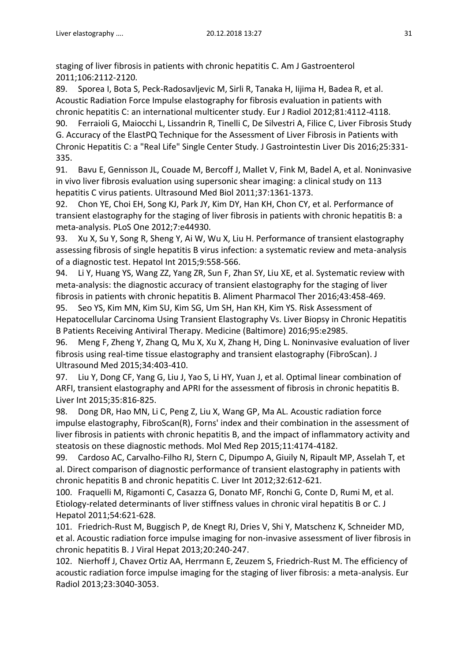staging of liver fibrosis in patients with chronic hepatitis C. Am J Gastroenterol 2011;106:2112-2120.

89. Sporea I, Bota S, Peck-Radosavljevic M, Sirli R, Tanaka H, Iijima H, Badea R, et al. Acoustic Radiation Force Impulse elastography for fibrosis evaluation in patients with chronic hepatitis C: an international multicenter study. Eur J Radiol 2012;81:4112-4118.

90. Ferraioli G, Maiocchi L, Lissandrin R, Tinelli C, De Silvestri A, Filice C, Liver Fibrosis Study G. Accuracy of the ElastPQ Technique for the Assessment of Liver Fibrosis in Patients with Chronic Hepatitis C: a "Real Life" Single Center Study. J Gastrointestin Liver Dis 2016;25:331- 335.

91. Bavu E, Gennisson JL, Couade M, Bercoff J, Mallet V, Fink M, Badel A, et al. Noninvasive in vivo liver fibrosis evaluation using supersonic shear imaging: a clinical study on 113 hepatitis C virus patients. Ultrasound Med Biol 2011;37:1361-1373.

92. Chon YE, Choi EH, Song KJ, Park JY, Kim DY, Han KH, Chon CY, et al. Performance of transient elastography for the staging of liver fibrosis in patients with chronic hepatitis B: a meta-analysis. PLoS One 2012;7:e44930.

93. Xu X, Su Y, Song R, Sheng Y, Ai W, Wu X, Liu H. Performance of transient elastography assessing fibrosis of single hepatitis B virus infection: a systematic review and meta-analysis of a diagnostic test. Hepatol Int 2015;9:558-566.

94. Li Y, Huang YS, Wang ZZ, Yang ZR, Sun F, Zhan SY, Liu XE, et al. Systematic review with meta-analysis: the diagnostic accuracy of transient elastography for the staging of liver fibrosis in patients with chronic hepatitis B. Aliment Pharmacol Ther 2016;43:458-469.

95. Seo YS, Kim MN, Kim SU, Kim SG, Um SH, Han KH, Kim YS. Risk Assessment of Hepatocellular Carcinoma Using Transient Elastography Vs. Liver Biopsy in Chronic Hepatitis B Patients Receiving Antiviral Therapy. Medicine (Baltimore) 2016;95:e2985.

96. Meng F, Zheng Y, Zhang Q, Mu X, Xu X, Zhang H, Ding L. Noninvasive evaluation of liver fibrosis using real-time tissue elastography and transient elastography (FibroScan). J Ultrasound Med 2015;34:403-410.

97. Liu Y, Dong CF, Yang G, Liu J, Yao S, Li HY, Yuan J, et al. Optimal linear combination of ARFI, transient elastography and APRI for the assessment of fibrosis in chronic hepatitis B. Liver Int 2015;35:816-825.

98. Dong DR, Hao MN, Li C, Peng Z, Liu X, Wang GP, Ma AL. Acoustic radiation force impulse elastography, FibroScan(R), Forns' index and their combination in the assessment of liver fibrosis in patients with chronic hepatitis B, and the impact of inflammatory activity and steatosis on these diagnostic methods. Mol Med Rep 2015;11:4174-4182.

99. Cardoso AC, Carvalho-Filho RJ, Stern C, Dipumpo A, Giuily N, Ripault MP, Asselah T, et al. Direct comparison of diagnostic performance of transient elastography in patients with chronic hepatitis B and chronic hepatitis C. Liver Int 2012;32:612-621.

100. Fraquelli M, Rigamonti C, Casazza G, Donato MF, Ronchi G, Conte D, Rumi M, et al. Etiology-related determinants of liver stiffness values in chronic viral hepatitis B or C. J Hepatol 2011;54:621-628.

101. Friedrich-Rust M, Buggisch P, de Knegt RJ, Dries V, Shi Y, Matschenz K, Schneider MD, et al. Acoustic radiation force impulse imaging for non-invasive assessment of liver fibrosis in chronic hepatitis B. J Viral Hepat 2013;20:240-247.

102. Nierhoff J, Chavez Ortiz AA, Herrmann E, Zeuzem S, Friedrich-Rust M. The efficiency of acoustic radiation force impulse imaging for the staging of liver fibrosis: a meta-analysis. Eur Radiol 2013;23:3040-3053.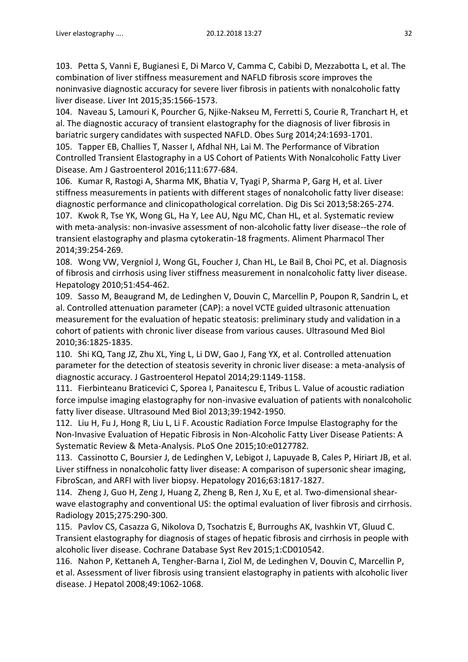103. Petta S, Vanni E, Bugianesi E, Di Marco V, Camma C, Cabibi D, Mezzabotta L, et al. The combination of liver stiffness measurement and NAFLD fibrosis score improves the noninvasive diagnostic accuracy for severe liver fibrosis in patients with nonalcoholic fatty liver disease. Liver Int 2015;35:1566-1573.

104. Naveau S, Lamouri K, Pourcher G, Njike-Nakseu M, Ferretti S, Courie R, Tranchart H, et al. The diagnostic accuracy of transient elastography for the diagnosis of liver fibrosis in bariatric surgery candidates with suspected NAFLD. Obes Surg 2014;24:1693-1701.

105. Tapper EB, Challies T, Nasser I, Afdhal NH, Lai M. The Performance of Vibration Controlled Transient Elastography in a US Cohort of Patients With Nonalcoholic Fatty Liver Disease. Am J Gastroenterol 2016;111:677-684.

106. Kumar R, Rastogi A, Sharma MK, Bhatia V, Tyagi P, Sharma P, Garg H, et al. Liver stiffness measurements in patients with different stages of nonalcoholic fatty liver disease: diagnostic performance and clinicopathological correlation. Dig Dis Sci 2013;58:265-274. 107. Kwok R, Tse YK, Wong GL, Ha Y, Lee AU, Ngu MC, Chan HL, et al. Systematic review with meta-analysis: non-invasive assessment of non-alcoholic fatty liver disease--the role of transient elastography and plasma cytokeratin-18 fragments. Aliment Pharmacol Ther 2014;39:254-269.

108. Wong VW, Vergniol J, Wong GL, Foucher J, Chan HL, Le Bail B, Choi PC, et al. Diagnosis of fibrosis and cirrhosis using liver stiffness measurement in nonalcoholic fatty liver disease. Hepatology 2010;51:454-462.

109. Sasso M, Beaugrand M, de Ledinghen V, Douvin C, Marcellin P, Poupon R, Sandrin L, et al. Controlled attenuation parameter (CAP): a novel VCTE guided ultrasonic attenuation measurement for the evaluation of hepatic steatosis: preliminary study and validation in a cohort of patients with chronic liver disease from various causes. Ultrasound Med Biol 2010;36:1825-1835.

110. Shi KQ, Tang JZ, Zhu XL, Ying L, Li DW, Gao J, Fang YX, et al. Controlled attenuation parameter for the detection of steatosis severity in chronic liver disease: a meta-analysis of diagnostic accuracy. J Gastroenterol Hepatol 2014;29:1149-1158.

111. Fierbinteanu Braticevici C, Sporea I, Panaitescu E, Tribus L. Value of acoustic radiation force impulse imaging elastography for non-invasive evaluation of patients with nonalcoholic fatty liver disease. Ultrasound Med Biol 2013;39:1942-1950.

112. Liu H, Fu J, Hong R, Liu L, Li F. Acoustic Radiation Force Impulse Elastography for the Non-Invasive Evaluation of Hepatic Fibrosis in Non-Alcoholic Fatty Liver Disease Patients: A Systematic Review & Meta-Analysis. PLoS One 2015;10:e0127782.

113. Cassinotto C, Boursier J, de Ledinghen V, Lebigot J, Lapuyade B, Cales P, Hiriart JB, et al. Liver stiffness in nonalcoholic fatty liver disease: A comparison of supersonic shear imaging, FibroScan, and ARFI with liver biopsy. Hepatology 2016;63:1817-1827.

114. Zheng J, Guo H, Zeng J, Huang Z, Zheng B, Ren J, Xu E, et al. Two-dimensional shearwave elastography and conventional US: the optimal evaluation of liver fibrosis and cirrhosis. Radiology 2015;275:290-300.

115. Pavlov CS, Casazza G, Nikolova D, Tsochatzis E, Burroughs AK, Ivashkin VT, Gluud C. Transient elastography for diagnosis of stages of hepatic fibrosis and cirrhosis in people with alcoholic liver disease. Cochrane Database Syst Rev 2015;1:CD010542.

116. Nahon P, Kettaneh A, Tengher-Barna I, Ziol M, de Ledinghen V, Douvin C, Marcellin P, et al. Assessment of liver fibrosis using transient elastography in patients with alcoholic liver disease. J Hepatol 2008;49:1062-1068.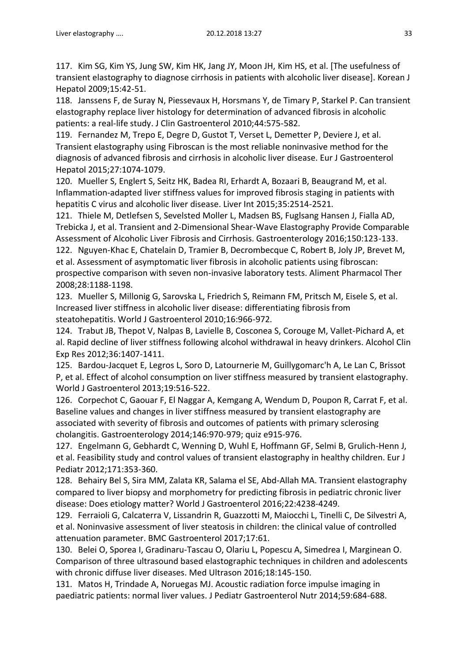117. Kim SG, Kim YS, Jung SW, Kim HK, Jang JY, Moon JH, Kim HS, et al. [The usefulness of transient elastography to diagnose cirrhosis in patients with alcoholic liver disease]. Korean J Hepatol 2009;15:42-51.

118. Janssens F, de Suray N, Piessevaux H, Horsmans Y, de Timary P, Starkel P. Can transient elastography replace liver histology for determination of advanced fibrosis in alcoholic patients: a real-life study. J Clin Gastroenterol 2010;44:575-582.

119. Fernandez M, Trepo E, Degre D, Gustot T, Verset L, Demetter P, Deviere J, et al. Transient elastography using Fibroscan is the most reliable noninvasive method for the diagnosis of advanced fibrosis and cirrhosis in alcoholic liver disease. Eur J Gastroenterol Hepatol 2015;27:1074-1079.

120. Mueller S, Englert S, Seitz HK, Badea RI, Erhardt A, Bozaari B, Beaugrand M, et al. Inflammation-adapted liver stiffness values for improved fibrosis staging in patients with hepatitis C virus and alcoholic liver disease. Liver Int 2015;35:2514-2521.

121. Thiele M, Detlefsen S, Sevelsted Moller L, Madsen BS, Fuglsang Hansen J, Fialla AD, Trebicka J, et al. Transient and 2-Dimensional Shear-Wave Elastography Provide Comparable Assessment of Alcoholic Liver Fibrosis and Cirrhosis. Gastroenterology 2016;150:123-133.

122. Nguyen-Khac E, Chatelain D, Tramier B, Decrombecque C, Robert B, Joly JP, Brevet M, et al. Assessment of asymptomatic liver fibrosis in alcoholic patients using fibroscan: prospective comparison with seven non-invasive laboratory tests. Aliment Pharmacol Ther 2008;28:1188-1198.

123. Mueller S, Millonig G, Sarovska L, Friedrich S, Reimann FM, Pritsch M, Eisele S, et al. Increased liver stiffness in alcoholic liver disease: differentiating fibrosis from steatohepatitis. World J Gastroenterol 2010;16:966-972.

124. Trabut JB, Thepot V, Nalpas B, Lavielle B, Cosconea S, Corouge M, Vallet-Pichard A, et al. Rapid decline of liver stiffness following alcohol withdrawal in heavy drinkers. Alcohol Clin Exp Res 2012;36:1407-1411.

125. Bardou-Jacquet E, Legros L, Soro D, Latournerie M, Guillygomarc'h A, Le Lan C, Brissot P, et al. Effect of alcohol consumption on liver stiffness measured by transient elastography. World J Gastroenterol 2013;19:516-522.

126. Corpechot C, Gaouar F, El Naggar A, Kemgang A, Wendum D, Poupon R, Carrat F, et al. Baseline values and changes in liver stiffness measured by transient elastography are associated with severity of fibrosis and outcomes of patients with primary sclerosing cholangitis. Gastroenterology 2014;146:970-979; quiz e915-976.

127. Engelmann G, Gebhardt C, Wenning D, Wuhl E, Hoffmann GF, Selmi B, Grulich-Henn J, et al. Feasibility study and control values of transient elastography in healthy children. Eur J Pediatr 2012;171:353-360.

128. Behairy Bel S, Sira MM, Zalata KR, Salama el SE, Abd-Allah MA. Transient elastography compared to liver biopsy and morphometry for predicting fibrosis in pediatric chronic liver disease: Does etiology matter? World J Gastroenterol 2016;22:4238-4249.

129. Ferraioli G, Calcaterra V, Lissandrin R, Guazzotti M, Maiocchi L, Tinelli C, De Silvestri A, et al. Noninvasive assessment of liver steatosis in children: the clinical value of controlled attenuation parameter. BMC Gastroenterol 2017;17:61.

130. Belei O, Sporea I, Gradinaru-Tascau O, Olariu L, Popescu A, Simedrea I, Marginean O. Comparison of three ultrasound based elastographic techniques in children and adolescents with chronic diffuse liver diseases. Med Ultrason 2016;18:145-150.

131. Matos H, Trindade A, Noruegas MJ. Acoustic radiation force impulse imaging in paediatric patients: normal liver values. J Pediatr Gastroenterol Nutr 2014;59:684-688.